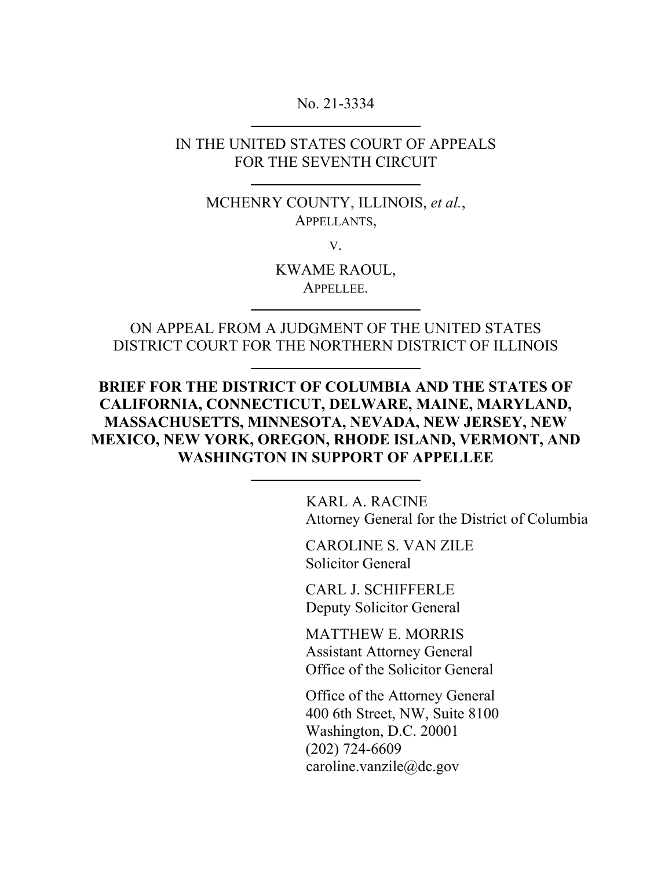### No. 21-3334

### IN THE UNITED STATES COURT OF APPEALS FOR THE SEVENTH CIRCUIT

MCHENRY COUNTY, ILLINOIS, *et al.*, APPELLANTS,

V.

KWAME RAOUL, APPELLEE.

ON APPEAL FROM A JUDGMENT OF THE UNITED STATES DISTRICT COURT FOR THE NORTHERN DISTRICT OF ILLINOIS

**BRIEF FOR THE DISTRICT OF COLUMBIA AND THE STATES OF CALIFORNIA, CONNECTICUT, DELWARE, MAINE, MARYLAND, MASSACHUSETTS, MINNESOTA, NEVADA, NEW JERSEY, NEW MEXICO, NEW YORK, OREGON, RHODE ISLAND, VERMONT, AND WASHINGTON IN SUPPORT OF APPELLEE** 

> KARL A. RACINE Attorney General for the District of Columbia

CAROLINE S. VAN ZILE Solicitor General Ì

CARL J. SCHIFFERLE Deputy Solicitor General

MATTHEW E. MORRIS Assistant Attorney General Office of the Solicitor General

Office of the Attorney General 400 6th Street, NW, Suite 8100 Washington, D.C. 20001 (202) 724-6609 caroline.vanzile@dc.gov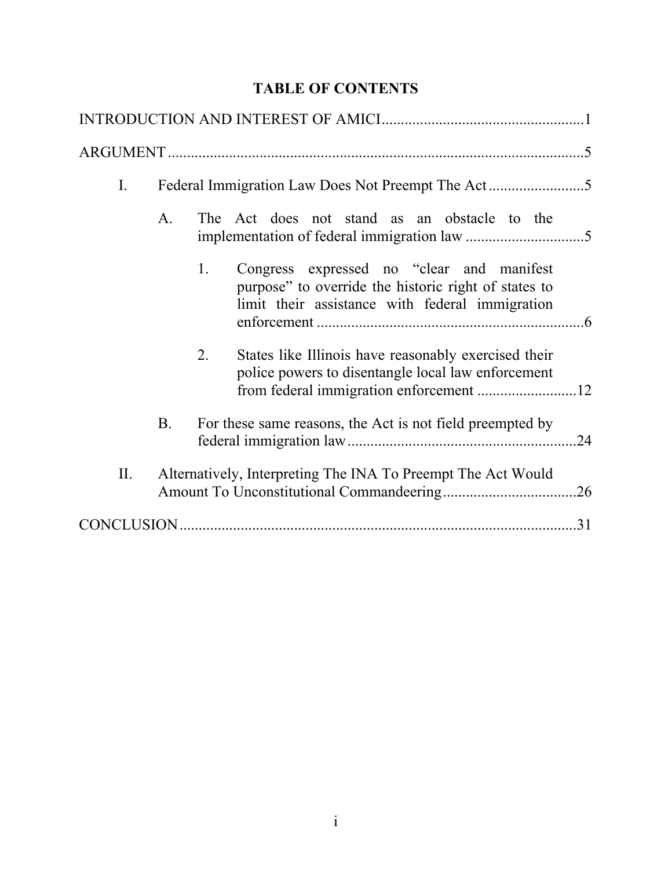# **TABLE OF CONTENTS**

| Ι.  |                                                              |    |                                                                                                                                                       |  |
|-----|--------------------------------------------------------------|----|-------------------------------------------------------------------------------------------------------------------------------------------------------|--|
|     | A.                                                           |    | The Act does not stand as an obstacle to the                                                                                                          |  |
|     |                                                              | 1. | Congress expressed no "clear and manifest"<br>purpose" to override the historic right of states to<br>limit their assistance with federal immigration |  |
|     |                                                              | 2. | States like Illinois have reasonably exercised their<br>police powers to disentangle local law enforcement                                            |  |
|     | B.                                                           |    | For these same reasons, the Act is not field preempted by                                                                                             |  |
| II. | Alternatively, Interpreting The INA To Preempt The Act Would |    |                                                                                                                                                       |  |
|     |                                                              |    |                                                                                                                                                       |  |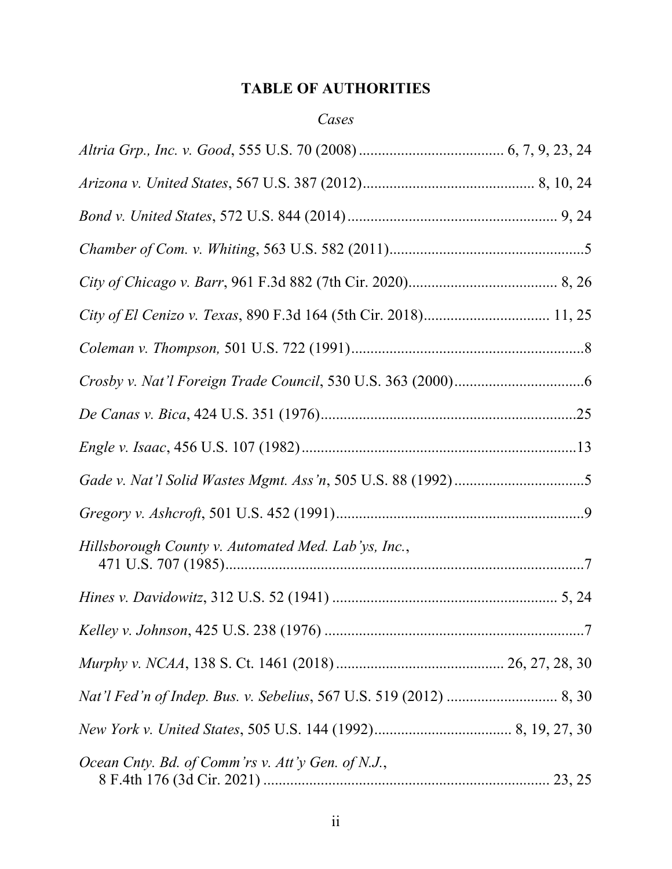# **TABLE OF AUTHORITIES**

# *Cases*

| Hillsborough County v. Automated Med. Lab'ys, Inc., |
|-----------------------------------------------------|
|                                                     |
|                                                     |
|                                                     |
|                                                     |
|                                                     |
| Ocean Cnty. Bd. of Comm'rs v. Att'y Gen. of N.J.,   |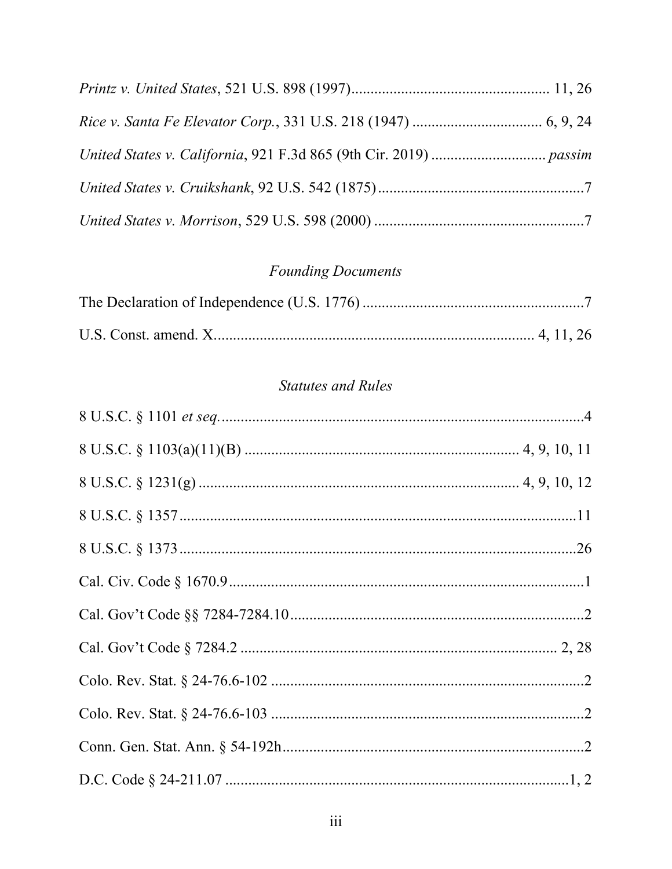# **Founding Documents**

# **Statutes and Rules**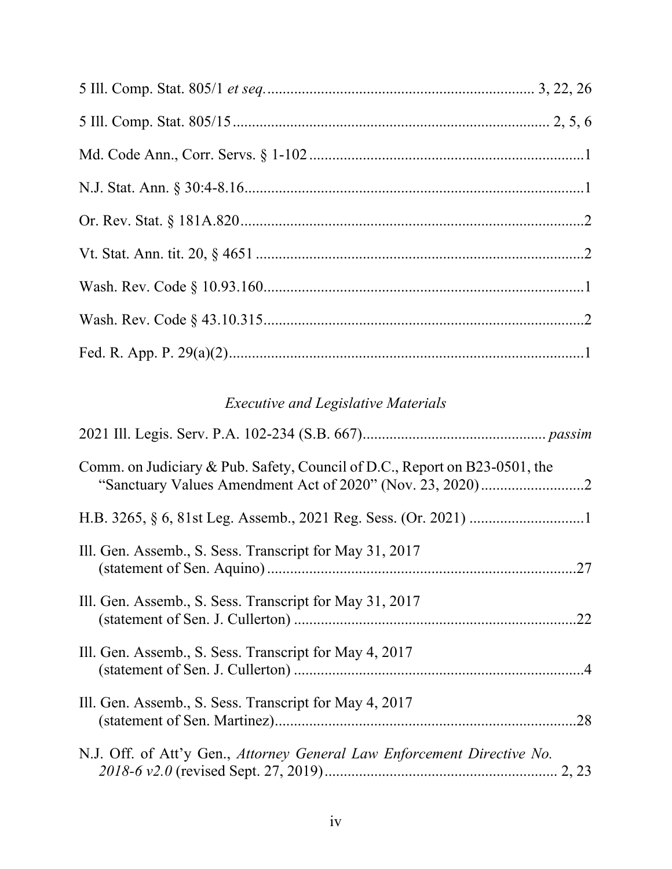# *Executive and Legislative Materials*

| Comm. on Judiciary & Pub. Safety, Council of D.C., Report on B23-0501, the |
|----------------------------------------------------------------------------|
|                                                                            |
| Ill. Gen. Assemb., S. Sess. Transcript for May 31, 2017                    |
| Ill. Gen. Assemb., S. Sess. Transcript for May 31, 2017                    |
| Ill. Gen. Assemb., S. Sess. Transcript for May 4, 2017                     |
| Ill. Gen. Assemb., S. Sess. Transcript for May 4, 2017                     |
| N.J. Off. of Att'y Gen., Attorney General Law Enforcement Directive No.    |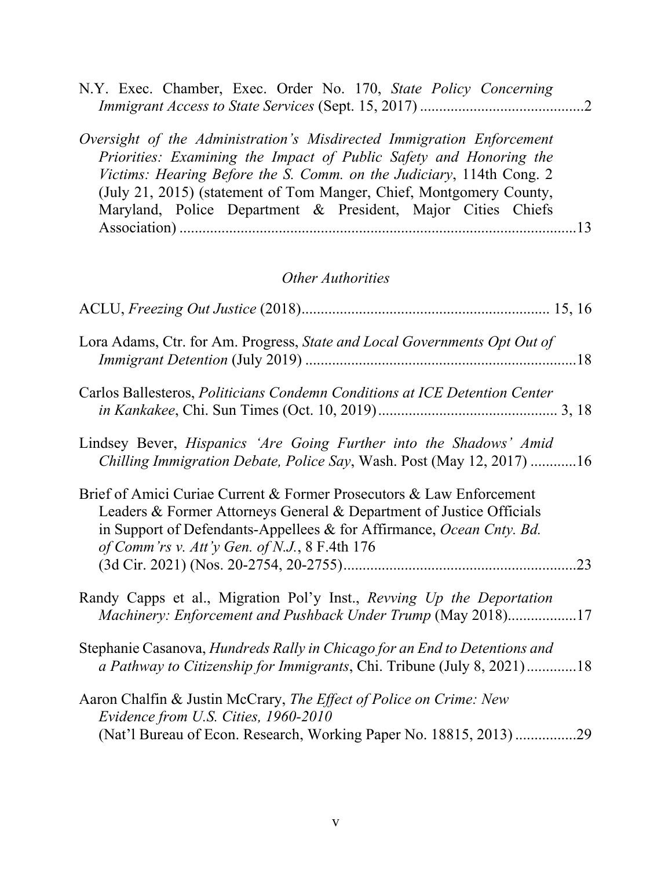| N.Y. Exec. Chamber, Exec. Order No. 170, State Policy Concerning      |  |
|-----------------------------------------------------------------------|--|
|                                                                       |  |
|                                                                       |  |
| Oversight of the Administration's Misdirected Immigration Enforcement |  |
| Priorities: Examining the Impact of Public Safety and Honoring the    |  |
| Victims: Hearing Before the S. Comm. on the Judiciary, 114th Cong. 2  |  |
| (July 21, 2015) (statement of Tom Manger, Chief, Montgomery County,   |  |
| Maryland, Police Department & President, Major Cities Chiefs          |  |
|                                                                       |  |
|                                                                       |  |

# *Other Authorities*

| Lora Adams, Ctr. for Am. Progress, State and Local Governments Opt Out of                                                                                                                                                                                             |
|-----------------------------------------------------------------------------------------------------------------------------------------------------------------------------------------------------------------------------------------------------------------------|
| Carlos Ballesteros, Politicians Condemn Conditions at ICE Detention Center                                                                                                                                                                                            |
| Lindsey Bever, Hispanics 'Are Going Further into the Shadows' Amid<br>Chilling Immigration Debate, Police Say, Wash. Post (May 12, 2017) 16                                                                                                                           |
| Brief of Amici Curiae Current & Former Prosecutors & Law Enforcement<br>Leaders & Former Attorneys General & Department of Justice Officials<br>in Support of Defendants-Appellees & for Affirmance, Ocean Cnty. Bd.<br>of Comm'rs v. Att'y Gen. of N.J., 8 F.4th 176 |
| Randy Capps et al., Migration Pol'y Inst., Revving Up the Deportation<br>Machinery: Enforcement and Pushback Under Trump (May 2018)17                                                                                                                                 |
| Stephanie Casanova, Hundreds Rally in Chicago for an End to Detentions and<br>a Pathway to Citizenship for Immigrants, Chi. Tribune (July 8, 2021)18                                                                                                                  |
| Aaron Chalfin & Justin McCrary, The Effect of Police on Crime: New<br>Evidence from U.S. Cities, 1960-2010<br>(Nat'l Bureau of Econ. Research, Working Paper No. 18815, 2013)29                                                                                       |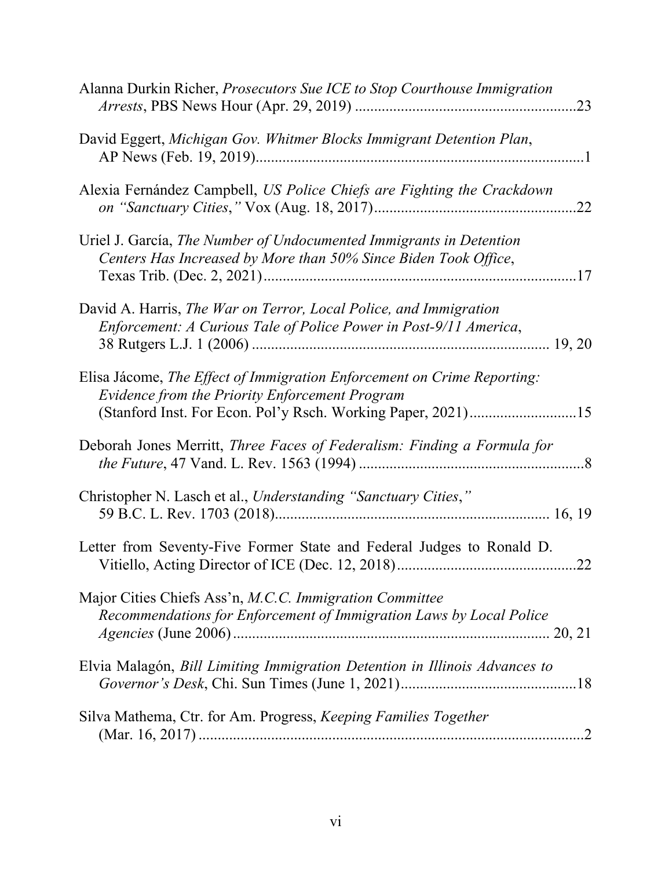| Alanna Durkin Richer, Prosecutors Sue ICE to Stop Courthouse Immigration                                                                                                                         |
|--------------------------------------------------------------------------------------------------------------------------------------------------------------------------------------------------|
| David Eggert, Michigan Gov. Whitmer Blocks Immigrant Detention Plan,                                                                                                                             |
| Alexia Fernández Campbell, US Police Chiefs are Fighting the Crackdown                                                                                                                           |
| Uriel J. García, The Number of Undocumented Immigrants in Detention<br>Centers Has Increased by More than 50% Since Biden Took Office,                                                           |
| David A. Harris, The War on Terror, Local Police, and Immigration<br>Enforcement: A Curious Tale of Police Power in Post-9/11 America,                                                           |
| Elisa Jácome, The Effect of Immigration Enforcement on Crime Reporting:<br><b>Evidence from the Priority Enforcement Program</b><br>(Stanford Inst. For Econ. Pol'y Rsch. Working Paper, 2021)15 |
| Deborah Jones Merritt, Three Faces of Federalism: Finding a Formula for                                                                                                                          |
| Christopher N. Lasch et al., Understanding "Sanctuary Cities,"                                                                                                                                   |
| Letter from Seventy-Five Former State and Federal Judges to Ronald D.<br>.22                                                                                                                     |
| Major Cities Chiefs Ass'n, M.C.C. Immigration Committee<br>Recommendations for Enforcement of Immigration Laws by Local Police                                                                   |
| Elvia Malagón, Bill Limiting Immigration Detention in Illinois Advances to                                                                                                                       |
| Silva Mathema, Ctr. for Am. Progress, Keeping Families Together                                                                                                                                  |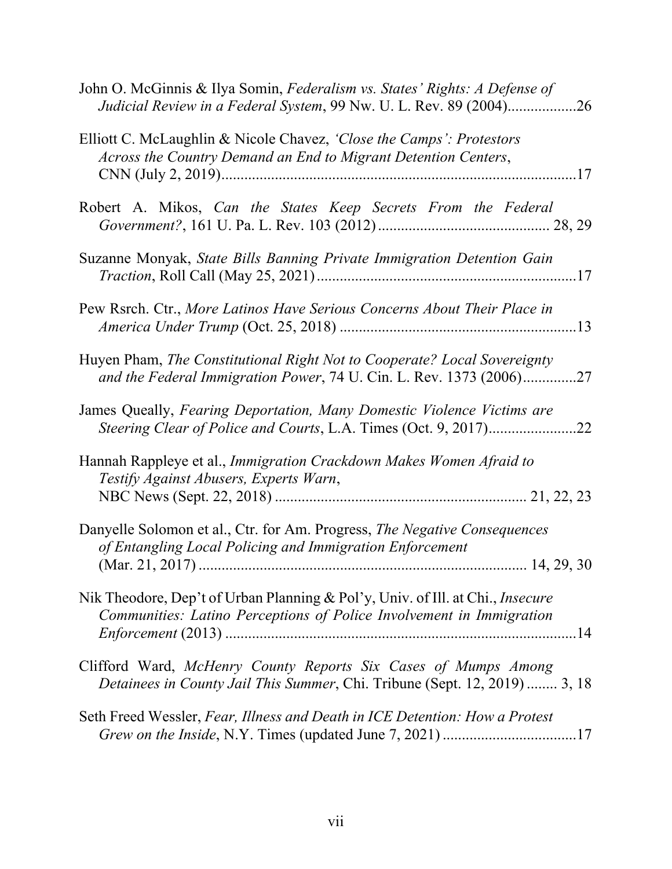| John O. McGinnis & Ilya Somin, Federalism vs. States' Rights: A Defense of<br>Judicial Review in a Federal System, 99 Nw. U. L. Rev. 89 (2004)26       |
|--------------------------------------------------------------------------------------------------------------------------------------------------------|
| Elliott C. McLaughlin & Nicole Chavez, 'Close the Camps': Protestors<br>Across the Country Demand an End to Migrant Detention Centers,                 |
| Robert A. Mikos, Can the States Keep Secrets From the Federal                                                                                          |
| Suzanne Monyak, State Bills Banning Private Immigration Detention Gain                                                                                 |
| Pew Rsrch. Ctr., More Latinos Have Serious Concerns About Their Place in                                                                               |
| Huyen Pham, The Constitutional Right Not to Cooperate? Local Sovereignty<br>and the Federal Immigration Power, 74 U. Cin. L. Rev. 1373 (2006)27        |
| James Queally, Fearing Deportation, Many Domestic Violence Victims are                                                                                 |
| Hannah Rappleye et al., Immigration Crackdown Makes Women Afraid to<br>Testify Against Abusers, Experts Warn,                                          |
| Danyelle Solomon et al., Ctr. for Am. Progress, The Negative Consequences<br>of Entangling Local Policing and Immigration Enforcement                  |
| Nik Theodore, Dep't of Urban Planning & Pol'y, Univ. of Ill. at Chi., Insecure<br>Communities: Latino Perceptions of Police Involvement in Immigration |
| Clifford Ward, McHenry County Reports Six Cases of Mumps Among<br>Detainees in County Jail This Summer, Chi. Tribune (Sept. 12, 2019)  3, 18           |
| Seth Freed Wessler, Fear, Illness and Death in ICE Detention: How a Protest                                                                            |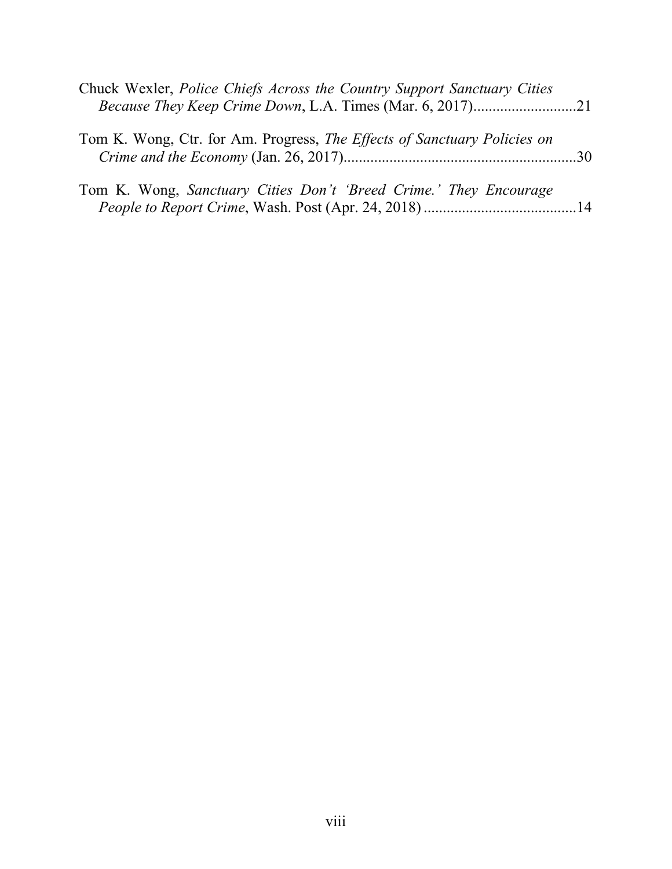| Chuck Wexler, <i>Police Chiefs Across the Country Support Sanctuary Cities</i>  |  |
|---------------------------------------------------------------------------------|--|
| Tom K. Wong, Ctr. for Am. Progress, <i>The Effects of Sanctuary Policies on</i> |  |
| Tom K. Wong, Sanctuary Cities Don't 'Breed Crime.' They Encourage               |  |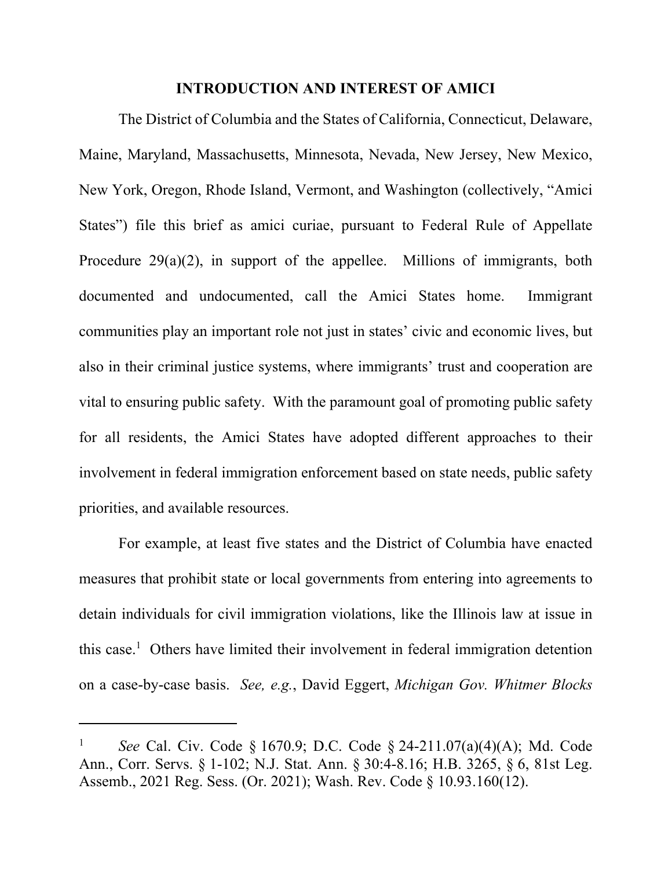#### **INTRODUCTION AND INTEREST OF AMICI**

The District of Columbia and the States of California, Connecticut, Delaware, Maine, Maryland, Massachusetts, Minnesota, Nevada, New Jersey, New Mexico, New York, Oregon, Rhode Island, Vermont, and Washington (collectively, "Amici States") file this brief as amici curiae, pursuant to Federal Rule of Appellate Procedure 29(a)(2), in support of the appellee. Millions of immigrants, both documented and undocumented, call the Amici States home. Immigrant communities play an important role not just in states' civic and economic lives, but also in their criminal justice systems, where immigrants' trust and cooperation are vital to ensuring public safety. With the paramount goal of promoting public safety for all residents, the Amici States have adopted different approaches to their involvement in federal immigration enforcement based on state needs, public safety priorities, and available resources.

For example, at least five states and the District of Columbia have enacted measures that prohibit state or local governments from entering into agreements to detain individuals for civil immigration violations, like the Illinois law at issue in this case.<sup>1</sup> Others have limited their involvement in federal immigration detention on a case-by-case basis. *See, e.g.*, David Eggert, *Michigan Gov. Whitmer Blocks* 

<sup>1</sup> *See* Cal. Civ. Code § 1670.9; D.C. Code § 24-211.07(a)(4)(A); Md. Code Ann., Corr. Servs. § 1-102; N.J. Stat. Ann. § 30:4-8.16; H.B. 3265, § 6, 81st Leg. Assemb., 2021 Reg. Sess. (Or. 2021); Wash. Rev. Code § 10.93.160(12).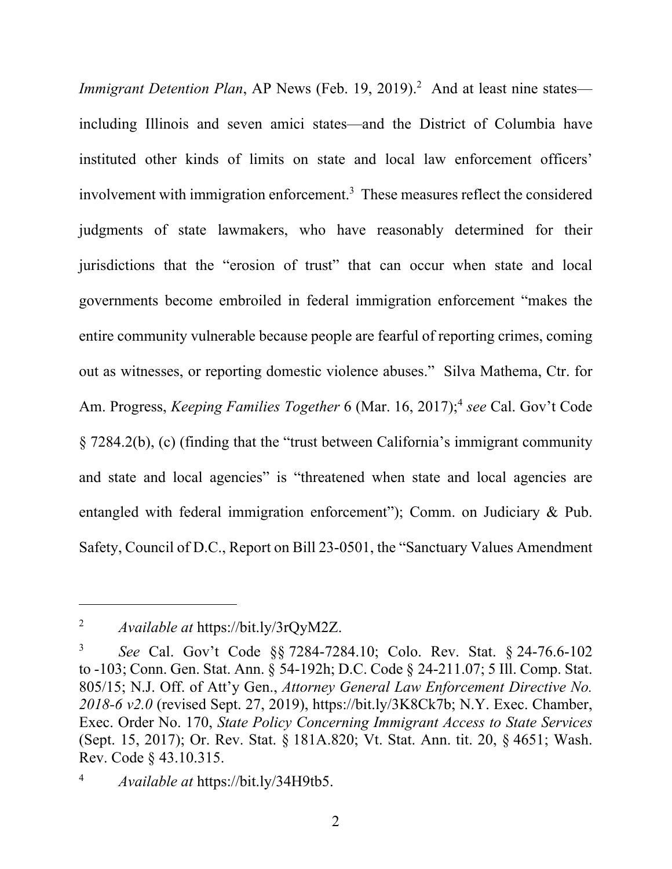*Immigrant Detention Plan*, AP News (Feb. 19, 2019).<sup>2</sup> And at least nine states including Illinois and seven amici states—and the District of Columbia have instituted other kinds of limits on state and local law enforcement officers' involvement with immigration enforcement.<sup>3</sup> These measures reflect the considered judgments of state lawmakers, who have reasonably determined for their jurisdictions that the "erosion of trust" that can occur when state and local governments become embroiled in federal immigration enforcement "makes the entire community vulnerable because people are fearful of reporting crimes, coming out as witnesses, or reporting domestic violence abuses." Silva Mathema, Ctr. for Am. Progress, *Keeping Families Together* 6 (Mar. 16, 2017);<sup>4</sup> see Cal. Gov't Code § 7284.2(b), (c) (finding that the "trust between California's immigrant community and state and local agencies" is "threatened when state and local agencies are entangled with federal immigration enforcement"); Comm. on Judiciary & Pub. Safety, Council of D.C., Report on Bill 23-0501, the "Sanctuary Values Amendment

<sup>2</sup> *Available at* https://bit.ly/3rQyM2Z.

<sup>3</sup> *See* Cal. Gov't Code §§ 7284-7284.10; Colo. Rev. Stat. § 24-76.6-102 to -103; Conn. Gen. Stat. Ann. § 54-192h; D.C. Code § 24-211.07; 5 Ill. Comp. Stat. 805/15; N.J. Off. of Att'y Gen., *Attorney General Law Enforcement Directive No. 2018-6 v2.0* (revised Sept. 27, 2019), https://bit.ly/3K8Ck7b; N.Y. Exec. Chamber, Exec. Order No. 170, *State Policy Concerning Immigrant Access to State Services* (Sept. 15, 2017); Or. Rev. Stat. § 181A.820; Vt. Stat. Ann. tit. 20, § 4651; Wash. Rev. Code § 43.10.315.

<sup>4</sup> *Available at* https://bit.ly/34H9tb5.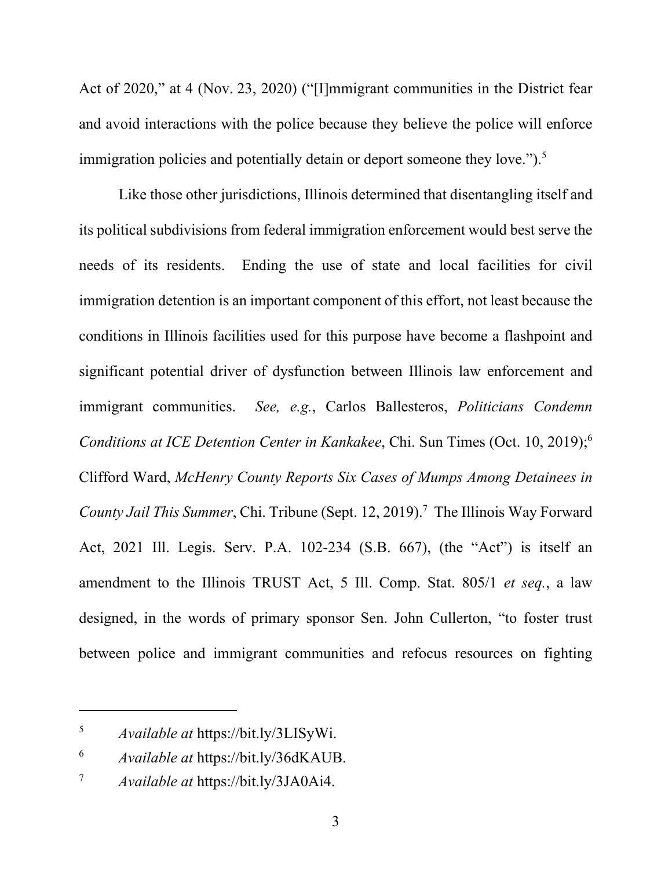Act of 2020," at 4 (Nov. 23, 2020) ("[I]mmigrant communities in the District fear and avoid interactions with the police because they believe the police will enforce immigration policies and potentially detain or deport someone they love.").<sup>5</sup>

Like those other jurisdictions, Illinois determined that disentangling itself and its political subdivisions from federal immigration enforcement would best serve the needs of its residents. Ending the use of state and local facilities for civil immigration detention is an important component of this effort, not least because the conditions in Illinois facilities used for this purpose have become a flashpoint and significant potential driver of dysfunction between Illinois law enforcement and immigrant communities. *See, e.g.*, Carlos Ballesteros, *Politicians Condemn Conditions at ICE Detention Center in Kankakee*, Chi. Sun Times (Oct. 10, 2019);<sup>6</sup> Clifford Ward, *McHenry County Reports Six Cases of Mumps Among Detainees in*  County Jail This Summer, Chi. Tribune (Sept. 12, 2019).<sup>7</sup> The Illinois Way Forward Act, 2021 Ill. Legis. Serv. P.A. 102-234 (S.B. 667), (the "Act") is itself an amendment to the Illinois TRUST Act, 5 Ill. Comp. Stat. 805/1 *et seq.*, a law designed, in the words of primary sponsor Sen. John Cullerton, "to foster trust between police and immigrant communities and refocus resources on fighting

<sup>5</sup> *Available at* https://bit.ly/3LISyWi.

<sup>6</sup> *Available at* https://bit.ly/36dKAUB.

<sup>7</sup> *Available at* https://bit.ly/3JA0Ai4.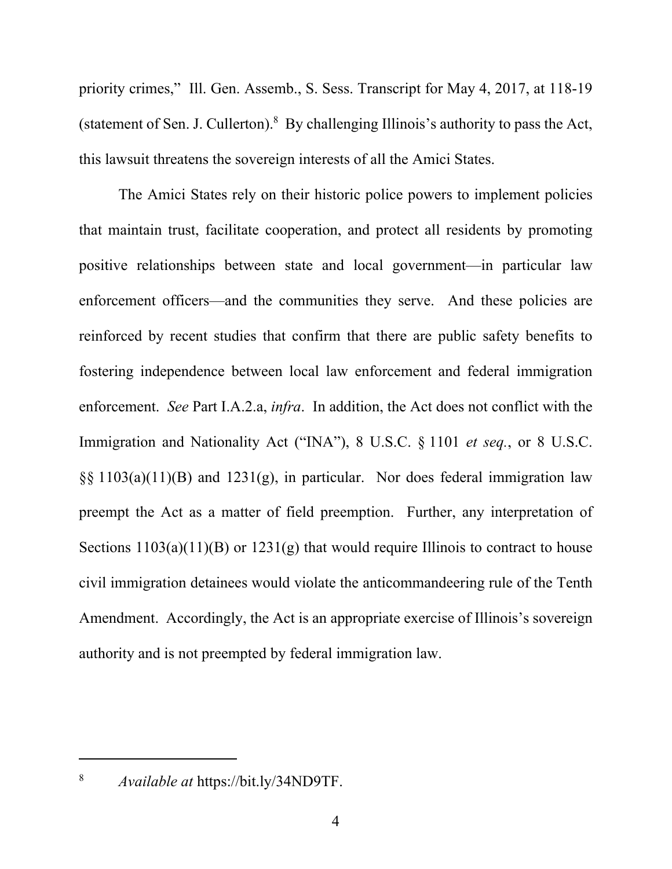priority crimes," Ill. Gen. Assemb., S. Sess. Transcript for May 4, 2017, at 118-19 (statement of Sen. J. Cullerton).<sup>8</sup> By challenging Illinois's authority to pass the Act, this lawsuit threatens the sovereign interests of all the Amici States.

The Amici States rely on their historic police powers to implement policies that maintain trust, facilitate cooperation, and protect all residents by promoting positive relationships between state and local government—in particular law enforcement officers—and the communities they serve. And these policies are reinforced by recent studies that confirm that there are public safety benefits to fostering independence between local law enforcement and federal immigration enforcement. *See* Part I.A.2.a, *infra*. In addition, the Act does not conflict with the Immigration and Nationality Act ("INA"), 8 U.S.C. § 1101 *et seq.*, or 8 U.S.C.  $\S$ § 1103(a)(11)(B) and 1231(g), in particular. Nor does federal immigration law preempt the Act as a matter of field preemption. Further, any interpretation of Sections  $1103(a)(11)(B)$  or  $1231(g)$  that would require Illinois to contract to house civil immigration detainees would violate the anticommandeering rule of the Tenth Amendment. Accordingly, the Act is an appropriate exercise of Illinois's sovereign authority and is not preempted by federal immigration law.

8

*Available at* https://bit.ly/34ND9TF.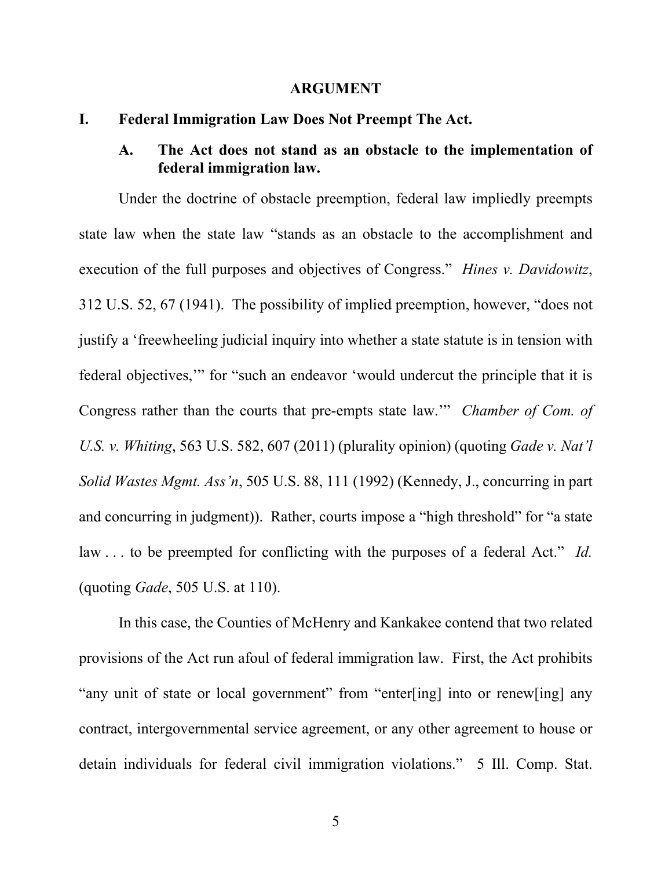#### **ARGUMENT**

#### **I. Federal Immigration Law Does Not Preempt The Act.**

### **A. The Act does not stand as an obstacle to the implementation of federal immigration law.**

Under the doctrine of obstacle preemption, federal law impliedly preempts state law when the state law "stands as an obstacle to the accomplishment and execution of the full purposes and objectives of Congress." *Hines v. Davidowitz*, 312 U.S. 52, 67 (1941). The possibility of implied preemption, however, "does not justify a 'freewheeling judicial inquiry into whether a state statute is in tension with federal objectives,'" for "such an endeavor 'would undercut the principle that it is Congress rather than the courts that pre-empts state law.'" *Chamber of Com. of U.S. v. Whiting*, 563 U.S. 582, 607 (2011) (plurality opinion) (quoting *Gade v. Nat'l Solid Wastes Mgmt. Ass'n*, 505 U.S. 88, 111 (1992) (Kennedy, J., concurring in part and concurring in judgment)). Rather, courts impose a "high threshold" for "a state law . . . to be preempted for conflicting with the purposes of a federal Act." *Id.* (quoting *Gade*, 505 U.S. at 110).

In this case, the Counties of McHenry and Kankakee contend that two related provisions of the Act run afoul of federal immigration law. First, the Act prohibits "any unit of state or local government" from "enter[ing] into or renew[ing] any contract, intergovernmental service agreement, or any other agreement to house or detain individuals for federal civil immigration violations." 5 Ill. Comp. Stat.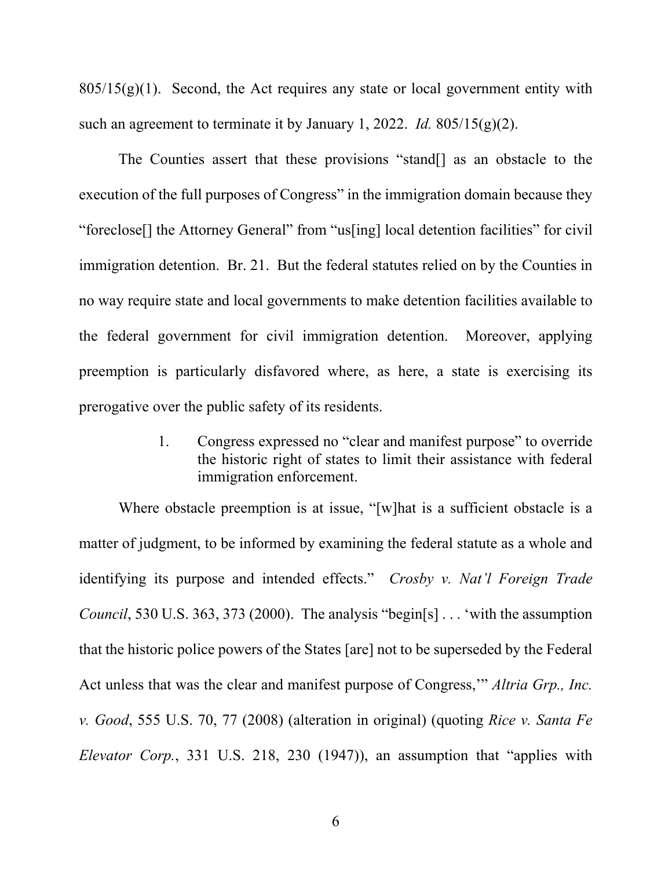$805/15(g)(1)$ . Second, the Act requires any state or local government entity with such an agreement to terminate it by January 1, 2022. *Id.* 805/15(g)(2).

The Counties assert that these provisions "stand[] as an obstacle to the execution of the full purposes of Congress" in the immigration domain because they "foreclose[] the Attorney General" from "us[ing] local detention facilities" for civil immigration detention. Br. 21. But the federal statutes relied on by the Counties in no way require state and local governments to make detention facilities available to the federal government for civil immigration detention. Moreover, applying preemption is particularly disfavored where, as here, a state is exercising its prerogative over the public safety of its residents.

> 1. Congress expressed no "clear and manifest purpose" to override the historic right of states to limit their assistance with federal immigration enforcement.

Where obstacle preemption is at issue, "[w]hat is a sufficient obstacle is a matter of judgment, to be informed by examining the federal statute as a whole and identifying its purpose and intended effects." *Crosby v. Nat'l Foreign Trade Council*, 530 U.S. 363, 373 (2000). The analysis "begin[s] . . . 'with the assumption that the historic police powers of the States [are] not to be superseded by the Federal Act unless that was the clear and manifest purpose of Congress,'" *Altria Grp., Inc. v. Good*, 555 U.S. 70, 77 (2008) (alteration in original) (quoting *Rice v. Santa Fe Elevator Corp.*, 331 U.S. 218, 230 (1947)), an assumption that "applies with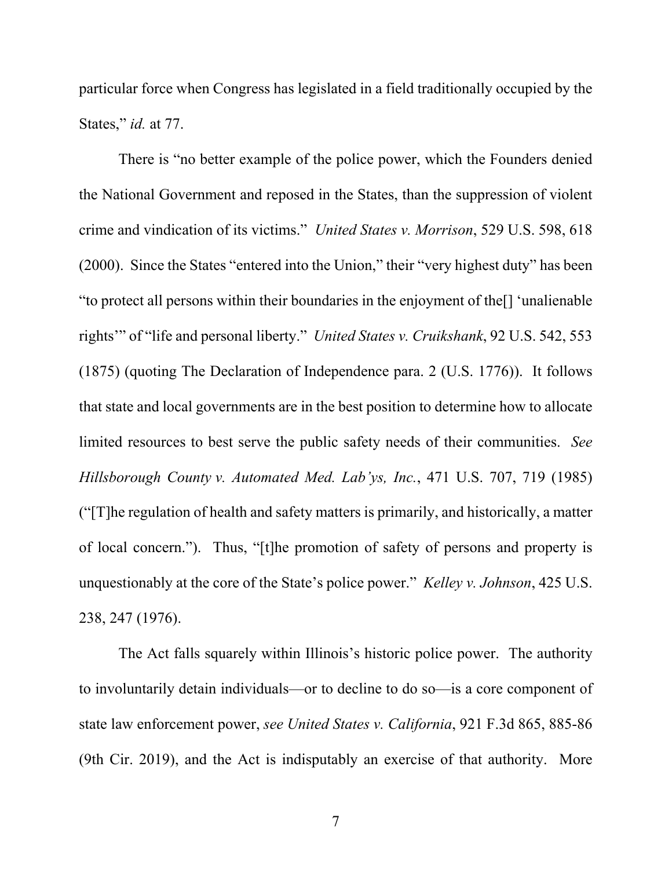particular force when Congress has legislated in a field traditionally occupied by the States," *id.* at 77.

There is "no better example of the police power, which the Founders denied the National Government and reposed in the States, than the suppression of violent crime and vindication of its victims." *United States v. Morrison*, 529 U.S. 598, 618 (2000). Since the States "entered into the Union," their "very highest duty" has been "to protect all persons within their boundaries in the enjoyment of the[] 'unalienable rights'" of "life and personal liberty." *United States v. Cruikshank*, 92 U.S. 542, 553 (1875) (quoting The Declaration of Independence para. 2 (U.S. 1776)). It follows that state and local governments are in the best position to determine how to allocate limited resources to best serve the public safety needs of their communities. *See Hillsborough County v. Automated Med. Lab'ys, Inc.*, 471 U.S. 707, 719 (1985) ("[T]he regulation of health and safety matters is primarily, and historically, a matter of local concern."). Thus, "[t]he promotion of safety of persons and property is unquestionably at the core of the State's police power." *Kelley v. Johnson*, 425 U.S. 238, 247 (1976).

The Act falls squarely within Illinois's historic police power. The authority to involuntarily detain individuals—or to decline to do so—is a core component of state law enforcement power, *see United States v. California*, 921 F.3d 865, 885-86 (9th Cir. 2019), and the Act is indisputably an exercise of that authority. More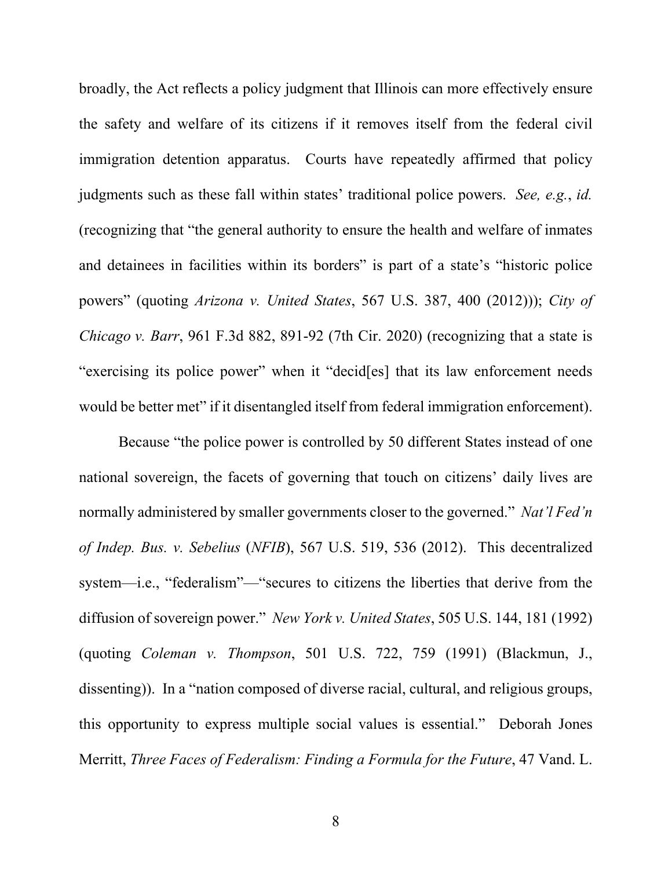broadly, the Act reflects a policy judgment that Illinois can more effectively ensure the safety and welfare of its citizens if it removes itself from the federal civil immigration detention apparatus. Courts have repeatedly affirmed that policy judgments such as these fall within states' traditional police powers. *See, e.g.*, *id.*  (recognizing that "the general authority to ensure the health and welfare of inmates and detainees in facilities within its borders" is part of a state's "historic police powers" (quoting *Arizona v. United States*, 567 U.S. 387, 400 (2012))); *City of Chicago v. Barr*, 961 F.3d 882, 891-92 (7th Cir. 2020) (recognizing that a state is "exercising its police power" when it "decid[es] that its law enforcement needs would be better met" if it disentangled itself from federal immigration enforcement).

Because "the police power is controlled by 50 different States instead of one national sovereign, the facets of governing that touch on citizens' daily lives are normally administered by smaller governments closer to the governed." *Nat'l Fed'n of Indep. Bus. v. Sebelius* (*NFIB*), 567 U.S. 519, 536 (2012). This decentralized system—i.e., "federalism"—"secures to citizens the liberties that derive from the diffusion of sovereign power." *New York v. United States*, 505 U.S. 144, 181 (1992) (quoting *Coleman v. Thompson*, 501 U.S. 722, 759 (1991) (Blackmun, J., dissenting)). In a "nation composed of diverse racial, cultural, and religious groups, this opportunity to express multiple social values is essential." Deborah Jones Merritt, *Three Faces of Federalism: Finding a Formula for the Future*, 47 Vand. L.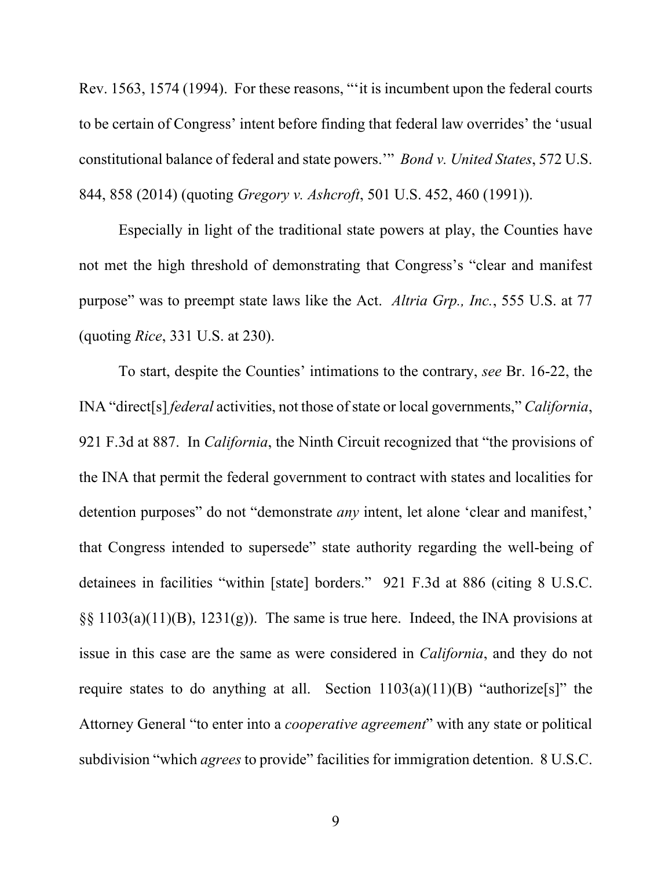Rev. 1563, 1574 (1994). For these reasons, "'it is incumbent upon the federal courts to be certain of Congress' intent before finding that federal law overrides' the 'usual constitutional balance of federal and state powers.'" *Bond v. United States*, 572 U.S. 844, 858 (2014) (quoting *Gregory v. Ashcroft*, 501 U.S. 452, 460 (1991)).

Especially in light of the traditional state powers at play, the Counties have not met the high threshold of demonstrating that Congress's "clear and manifest purpose" was to preempt state laws like the Act. *Altria Grp., Inc.*, 555 U.S. at 77 (quoting *Rice*, 331 U.S. at 230).

To start, despite the Counties' intimations to the contrary, *see* Br. 16-22, the INA "direct[s] *federal* activities, not those of state or local governments," *California*, 921 F.3d at 887. In *California*, the Ninth Circuit recognized that "the provisions of the INA that permit the federal government to contract with states and localities for detention purposes" do not "demonstrate *any* intent, let alone 'clear and manifest,' that Congress intended to supersede" state authority regarding the well-being of detainees in facilities "within [state] borders." 921 F.3d at 886 (citing 8 U.S.C.  $\S$ § 1103(a)(11)(B), 1231(g)). The same is true here. Indeed, the INA provisions at issue in this case are the same as were considered in *California*, and they do not require states to do anything at all. Section  $1103(a)(11)(B)$  "authorize<sup>[s]</sup>" the Attorney General "to enter into a *cooperative agreement*" with any state or political subdivision "which *agrees* to provide" facilities for immigration detention. 8 U.S.C.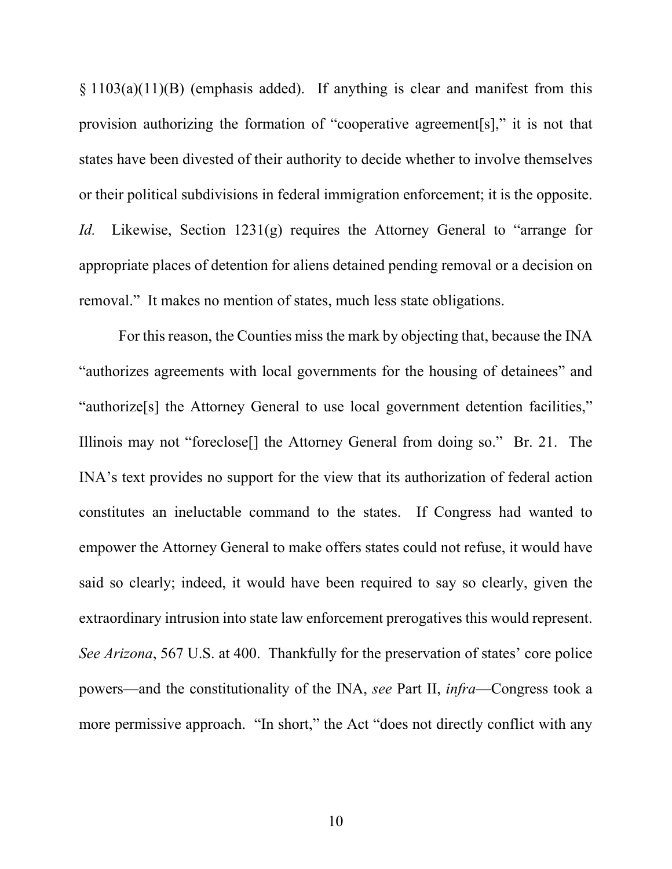$\S 1103(a)(11)(B)$  (emphasis added). If anything is clear and manifest from this provision authorizing the formation of "cooperative agreement[s]," it is not that states have been divested of their authority to decide whether to involve themselves or their political subdivisions in federal immigration enforcement; it is the opposite. *Id.* Likewise, Section 1231(g) requires the Attorney General to "arrange for appropriate places of detention for aliens detained pending removal or a decision on removal." It makes no mention of states, much less state obligations.

For this reason, the Counties miss the mark by objecting that, because the INA "authorizes agreements with local governments for the housing of detainees" and "authorize[s] the Attorney General to use local government detention facilities," Illinois may not "foreclose[] the Attorney General from doing so." Br. 21. The INA's text provides no support for the view that its authorization of federal action constitutes an ineluctable command to the states. If Congress had wanted to empower the Attorney General to make offers states could not refuse, it would have said so clearly; indeed, it would have been required to say so clearly, given the extraordinary intrusion into state law enforcement prerogatives this would represent. *See Arizona*, 567 U.S. at 400. Thankfully for the preservation of states' core police powers—and the constitutionality of the INA, *see* Part II, *infra*—Congress took a more permissive approach. "In short," the Act "does not directly conflict with any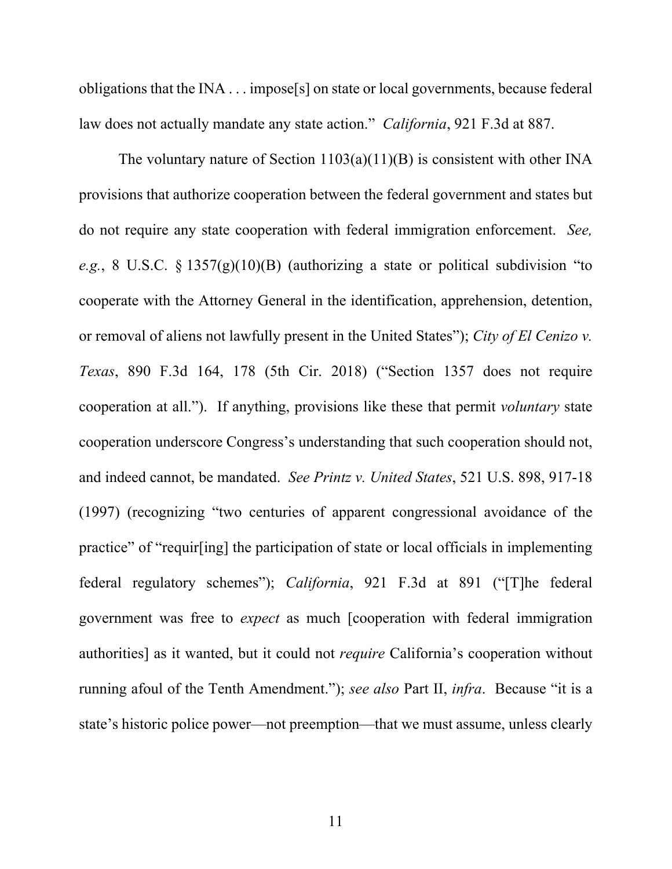obligations that the INA . . . impose[s] on state or local governments, because federal law does not actually mandate any state action." *California*, 921 F.3d at 887.

The voluntary nature of Section  $1103(a)(11)(B)$  is consistent with other INA provisions that authorize cooperation between the federal government and states but do not require any state cooperation with federal immigration enforcement. *See, e.g.*, 8 U.S.C. § 1357(g)(10)(B) (authorizing a state or political subdivision "to cooperate with the Attorney General in the identification, apprehension, detention, or removal of aliens not lawfully present in the United States"); *City of El Cenizo v. Texas*, 890 F.3d 164, 178 (5th Cir. 2018) ("Section 1357 does not require cooperation at all."). If anything, provisions like these that permit *voluntary* state cooperation underscore Congress's understanding that such cooperation should not, and indeed cannot, be mandated. *See Printz v. United States*, 521 U.S. 898, 917-18 (1997) (recognizing "two centuries of apparent congressional avoidance of the practice" of "requir[ing] the participation of state or local officials in implementing federal regulatory schemes"); *California*, 921 F.3d at 891 ("[T]he federal government was free to *expect* as much [cooperation with federal immigration authorities] as it wanted, but it could not *require* California's cooperation without running afoul of the Tenth Amendment."); *see also* Part II, *infra*. Because "it is a state's historic police power—not preemption—that we must assume, unless clearly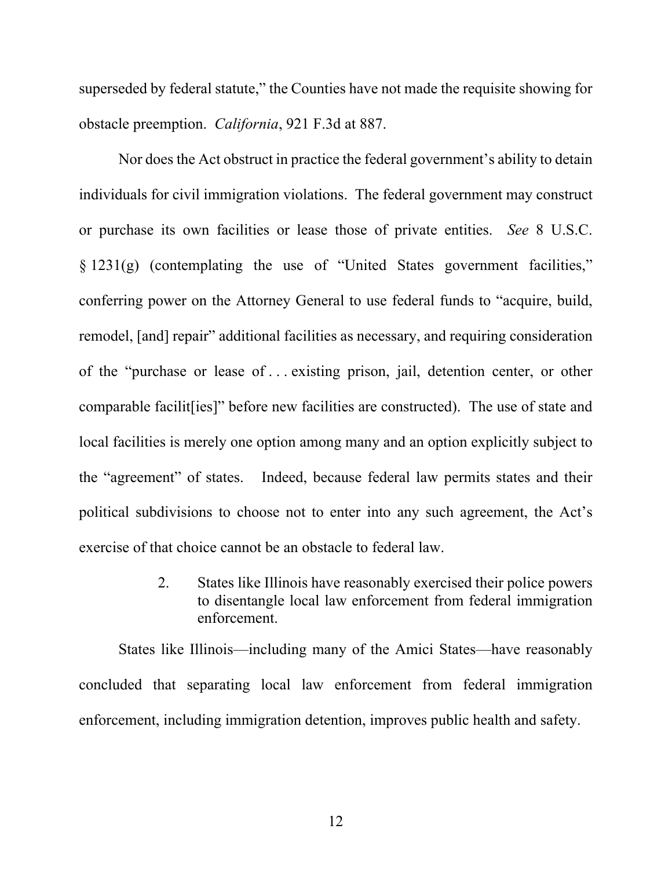superseded by federal statute," the Counties have not made the requisite showing for obstacle preemption. *California*, 921 F.3d at 887.

Nor does the Act obstruct in practice the federal government's ability to detain individuals for civil immigration violations. The federal government may construct or purchase its own facilities or lease those of private entities. *See* 8 U.S.C. § 1231(g) (contemplating the use of "United States government facilities," conferring power on the Attorney General to use federal funds to "acquire, build, remodel, [and] repair" additional facilities as necessary, and requiring consideration of the "purchase or lease of . . . existing prison, jail, detention center, or other comparable facilit[ies]" before new facilities are constructed). The use of state and local facilities is merely one option among many and an option explicitly subject to the "agreement" of states. Indeed, because federal law permits states and their political subdivisions to choose not to enter into any such agreement, the Act's exercise of that choice cannot be an obstacle to federal law.

> 2. States like Illinois have reasonably exercised their police powers to disentangle local law enforcement from federal immigration enforcement.

States like Illinois—including many of the Amici States—have reasonably concluded that separating local law enforcement from federal immigration enforcement, including immigration detention, improves public health and safety.

12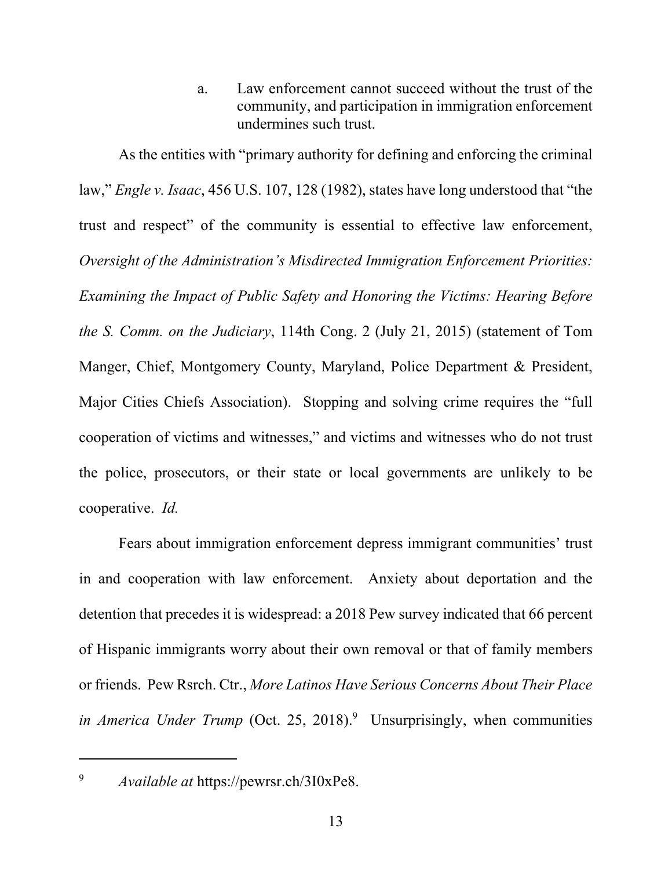a. Law enforcement cannot succeed without the trust of the community, and participation in immigration enforcement undermines such trust.

As the entities with "primary authority for defining and enforcing the criminal law," *Engle v. Isaac*, 456 U.S. 107, 128 (1982), states have long understood that "the trust and respect" of the community is essential to effective law enforcement, *Oversight of the Administration's Misdirected Immigration Enforcement Priorities: Examining the Impact of Public Safety and Honoring the Victims: Hearing Before the S. Comm. on the Judiciary*, 114th Cong. 2 (July 21, 2015) (statement of Tom Manger, Chief, Montgomery County, Maryland, Police Department & President, Major Cities Chiefs Association). Stopping and solving crime requires the "full cooperation of victims and witnesses," and victims and witnesses who do not trust the police, prosecutors, or their state or local governments are unlikely to be cooperative. *Id.*

Fears about immigration enforcement depress immigrant communities' trust in and cooperation with law enforcement. Anxiety about deportation and the detention that precedes it is widespread: a 2018 Pew survey indicated that 66 percent of Hispanic immigrants worry about their own removal or that of family members or friends. Pew Rsrch. Ctr., *More Latinos Have Serious Concerns About Their Place*  in America Under Trump (Oct. 25, 2018).<sup>9</sup> Unsurprisingly, when communities

9

*Available at* https://pewrsr.ch/3I0xPe8.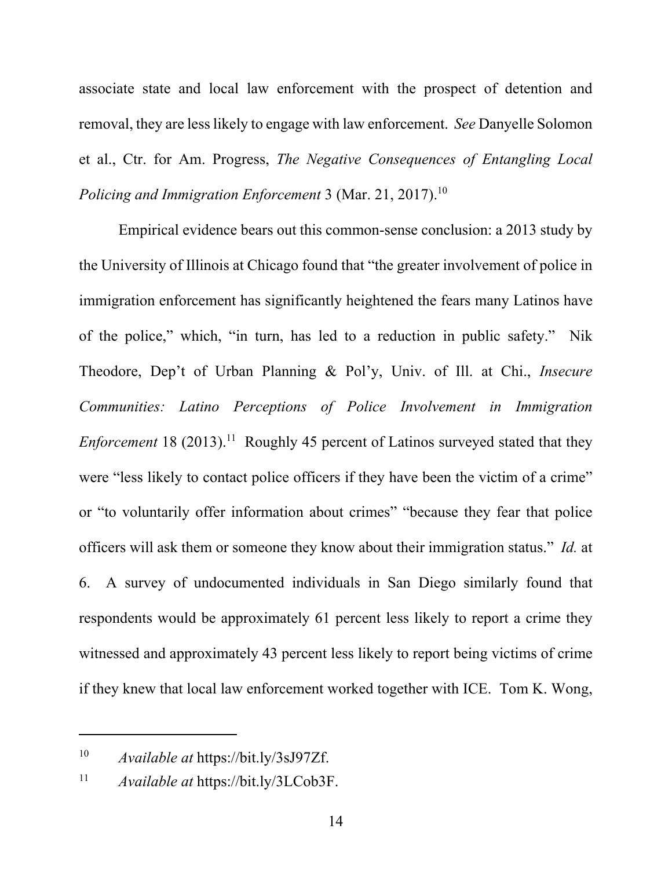associate state and local law enforcement with the prospect of detention and removal, they are less likely to engage with law enforcement. *See* Danyelle Solomon et al., Ctr. for Am. Progress, *The Negative Consequences of Entangling Local Policing and Immigration Enforcement* 3 (Mar. 21, 2017).<sup>10</sup>

Empirical evidence bears out this common-sense conclusion: a 2013 study by the University of Illinois at Chicago found that "the greater involvement of police in immigration enforcement has significantly heightened the fears many Latinos have of the police," which, "in turn, has led to a reduction in public safety." Nik Theodore, Dep't of Urban Planning & Pol'y, Univ. of Ill. at Chi., *Insecure Communities: Latino Perceptions of Police Involvement in Immigration Enforcement* 18 (2013).<sup>11</sup> Roughly 45 percent of Latinos surveyed stated that they were "less likely to contact police officers if they have been the victim of a crime" or "to voluntarily offer information about crimes" "because they fear that police officers will ask them or someone they know about their immigration status." *Id.* at 6. A survey of undocumented individuals in San Diego similarly found that respondents would be approximately 61 percent less likely to report a crime they witnessed and approximately 43 percent less likely to report being victims of crime if they knew that local law enforcement worked together with ICE. Tom K. Wong,

<sup>10</sup> *Available at* https://bit.ly/3sJ97Zf.

<sup>11</sup> *Available at* https://bit.ly/3LCob3F.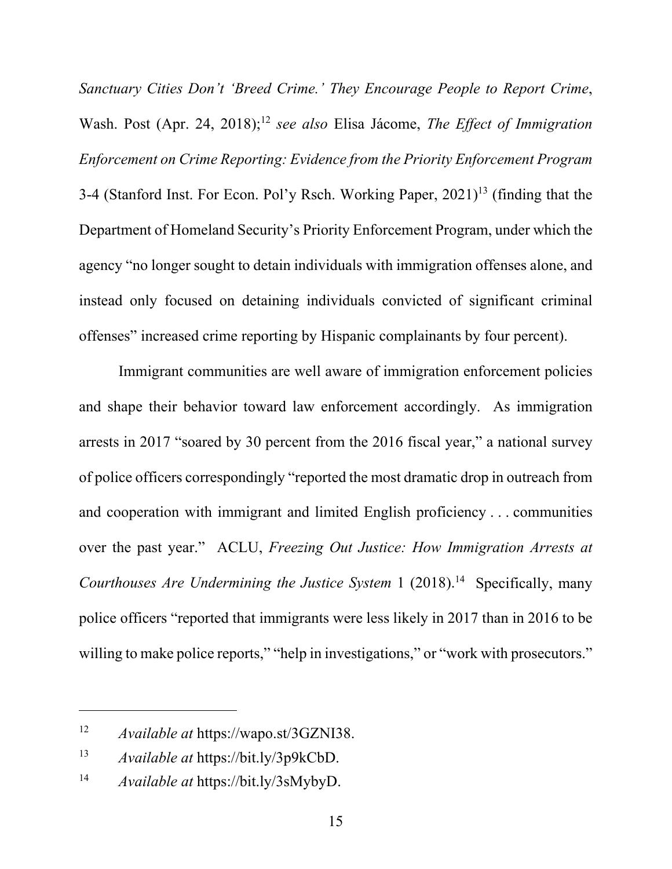*Sanctuary Cities Don't 'Breed Crime.' They Encourage People to Report Crime*, Wash. Post (Apr. 24, 2018);<sup>12</sup> see also Elisa Jácome, *The Effect of Immigration Enforcement on Crime Reporting: Evidence from the Priority Enforcement Program* 3-4 (Stanford Inst. For Econ. Pol'y Rsch. Working Paper,  $2021$ <sup>13</sup> (finding that the Department of Homeland Security's Priority Enforcement Program, under which the agency "no longer sought to detain individuals with immigration offenses alone, and instead only focused on detaining individuals convicted of significant criminal offenses" increased crime reporting by Hispanic complainants by four percent).

Immigrant communities are well aware of immigration enforcement policies and shape their behavior toward law enforcement accordingly. As immigration arrests in 2017 "soared by 30 percent from the 2016 fiscal year," a national survey of police officers correspondingly "reported the most dramatic drop in outreach from and cooperation with immigrant and limited English proficiency . . . communities over the past year." ACLU, *Freezing Out Justice: How Immigration Arrests at Courthouses Are Undermining the Justice System* 1 (2018).<sup>14</sup> Specifically, many police officers "reported that immigrants were less likely in 2017 than in 2016 to be willing to make police reports," "help in investigations," or "work with prosecutors."

<sup>12</sup> *Available at* https://wapo.st/3GZNI38.

<sup>13</sup> *Available at* https://bit.ly/3p9kCbD.

<sup>14</sup> *Available at* https://bit.ly/3sMybyD.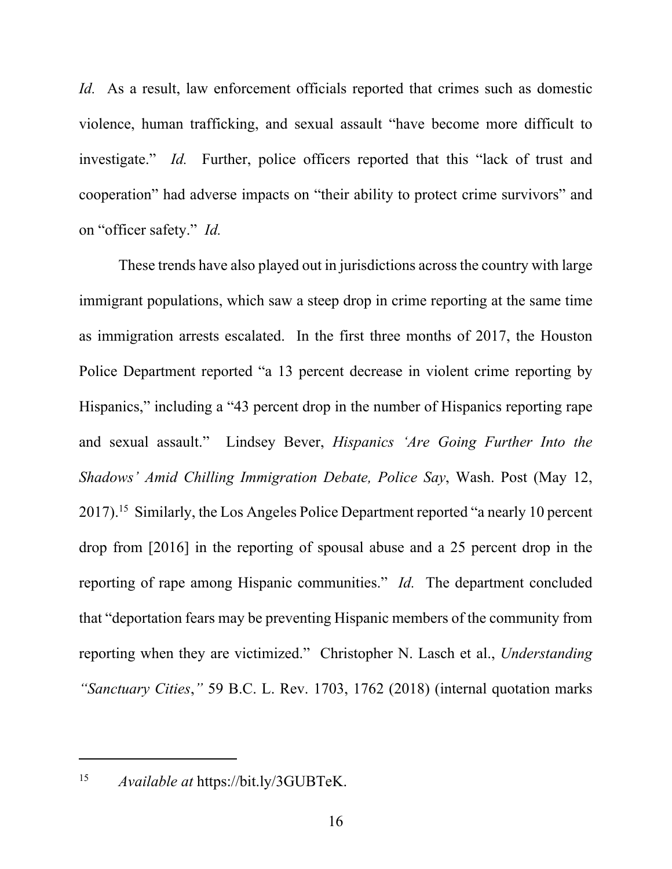*Id.* As a result, law enforcement officials reported that crimes such as domestic violence, human trafficking, and sexual assault "have become more difficult to investigate." *Id.* Further, police officers reported that this "lack of trust and cooperation" had adverse impacts on "their ability to protect crime survivors" and on "officer safety." *Id.*

These trends have also played out in jurisdictions across the country with large immigrant populations, which saw a steep drop in crime reporting at the same time as immigration arrests escalated. In the first three months of 2017, the Houston Police Department reported "a 13 percent decrease in violent crime reporting by Hispanics," including a "43 percent drop in the number of Hispanics reporting rape and sexual assault." Lindsey Bever, *Hispanics 'Are Going Further Into the Shadows' Amid Chilling Immigration Debate, Police Say*, Wash. Post (May 12, 2017).15 Similarly, the Los Angeles Police Department reported "a nearly 10 percent drop from [2016] in the reporting of spousal abuse and a 25 percent drop in the reporting of rape among Hispanic communities." *Id.* The department concluded that "deportation fears may be preventing Hispanic members of the community from reporting when they are victimized." Christopher N. Lasch et al., *Understanding "Sanctuary Cities*,*"* 59 B.C. L. Rev. 1703, 1762 (2018) (internal quotation marks

15 *Available at* https://bit.ly/3GUBTeK.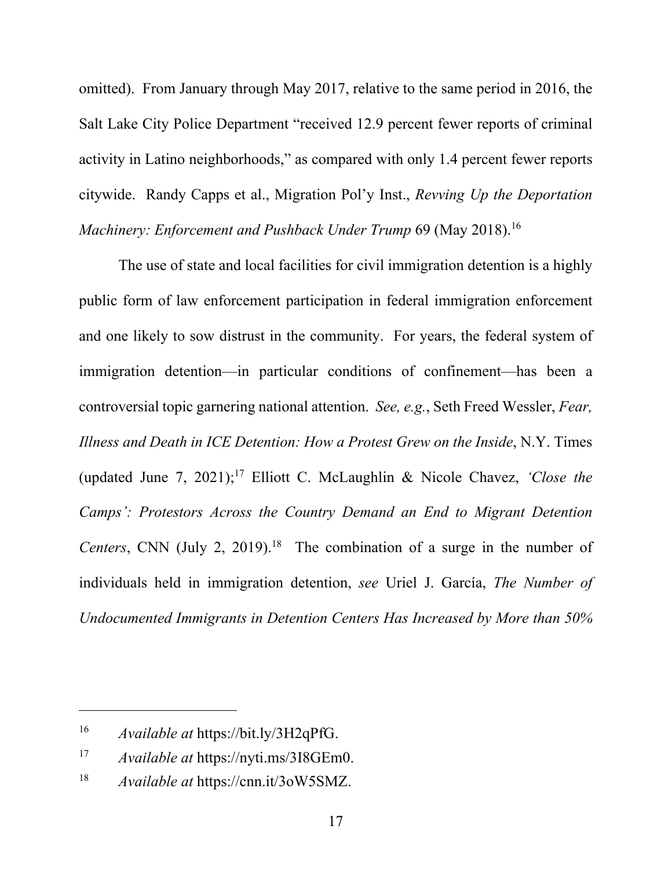omitted). From January through May 2017, relative to the same period in 2016, the Salt Lake City Police Department "received 12.9 percent fewer reports of criminal activity in Latino neighborhoods," as compared with only 1.4 percent fewer reports citywide. Randy Capps et al., Migration Pol'y Inst., *Revving Up the Deportation Machinery: Enforcement and Pushback Under Trump* 69 (May 2018).<sup>16</sup>

The use of state and local facilities for civil immigration detention is a highly public form of law enforcement participation in federal immigration enforcement and one likely to sow distrust in the community. For years, the federal system of immigration detention—in particular conditions of confinement—has been a controversial topic garnering national attention. *See, e.g.*, Seth Freed Wessler, *Fear, Illness and Death in ICE Detention: How a Protest Grew on the Inside*, N.Y. Times (updated June 7, 2021);17 Elliott C. McLaughlin & Nicole Chavez, *'Close the Camps': Protestors Across the Country Demand an End to Migrant Detention Centers*, CNN (July 2, 2019).<sup>18</sup> The combination of a surge in the number of individuals held in immigration detention, *see* Uriel J. García, *The Number of Undocumented Immigrants in Detention Centers Has Increased by More than 50%* 

<sup>16</sup> *Available at* https://bit.ly/3H2qPfG.

<sup>17</sup> *Available at* https://nyti.ms/3I8GEm0.

<sup>18</sup> *Available at* https://cnn.it/3oW5SMZ.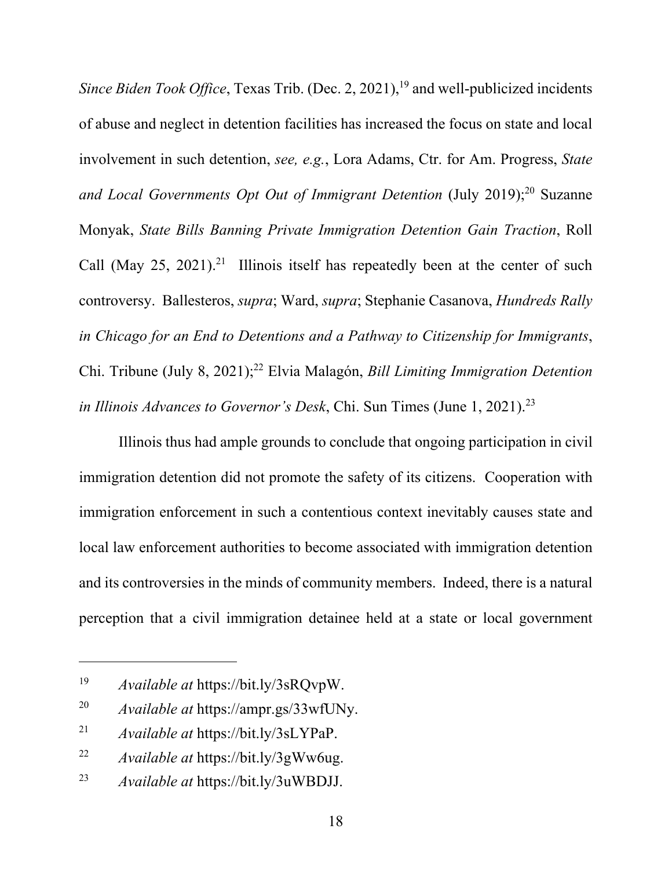*Since Biden Took Office*, Texas Trib. (Dec. 2, 2021),<sup>19</sup> and well-publicized incidents of abuse and neglect in detention facilities has increased the focus on state and local involvement in such detention, *see, e.g.*, Lora Adams, Ctr. for Am. Progress, *State*  and Local Governments Opt Out of Immigrant Detention (July 2019);<sup>20</sup> Suzanne Monyak, *State Bills Banning Private Immigration Detention Gain Traction*, Roll Call (May 25, 2021).<sup>21</sup> Illinois itself has repeatedly been at the center of such controversy. Ballesteros, *supra*; Ward, *supra*; Stephanie Casanova, *Hundreds Rally in Chicago for an End to Detentions and a Pathway to Citizenship for Immigrants*, Chi. Tribune (July 8, 2021);22 Elvia Malagón, *Bill Limiting Immigration Detention in Illinois Advances to Governor's Desk*, Chi. Sun Times (June 1, 2021).23

 Illinois thus had ample grounds to conclude that ongoing participation in civil immigration detention did not promote the safety of its citizens. Cooperation with immigration enforcement in such a contentious context inevitably causes state and local law enforcement authorities to become associated with immigration detention and its controversies in the minds of community members. Indeed, there is a natural perception that a civil immigration detainee held at a state or local government

<sup>19</sup> *Available at* https://bit.ly/3sRQvpW.

<sup>20</sup> *Available at* https://ampr.gs/33wfUNy.

<sup>21</sup> *Available at* https://bit.ly/3sLYPaP.

<sup>22</sup> *Available at* https://bit.ly/3gWw6ug.

<sup>23</sup> *Available at* https://bit.ly/3uWBDJJ.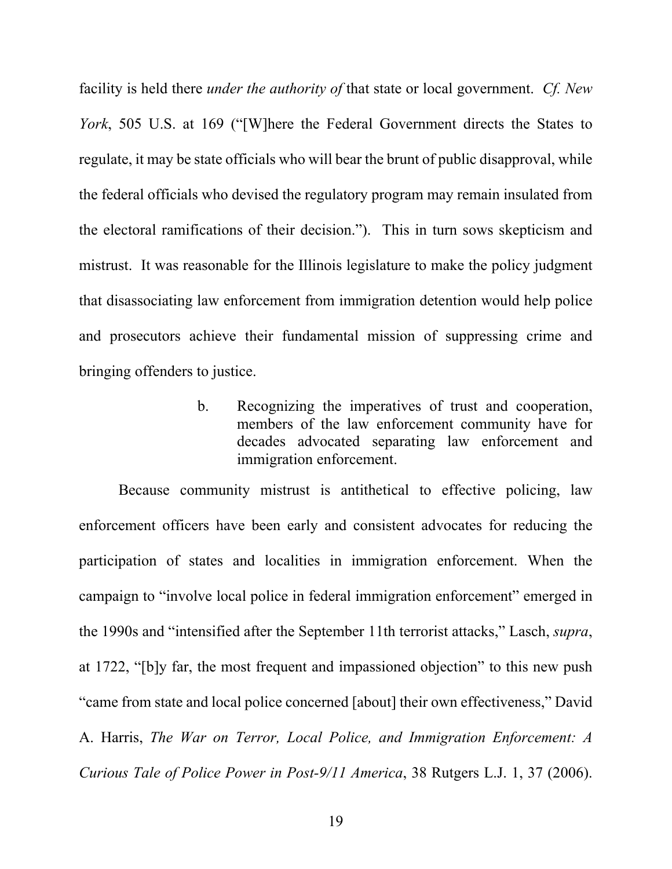facility is held there *under the authority of* that state or local government. *Cf. New York*, 505 U.S. at 169 ("[W]here the Federal Government directs the States to regulate, it may be state officials who will bear the brunt of public disapproval, while the federal officials who devised the regulatory program may remain insulated from the electoral ramifications of their decision."). This in turn sows skepticism and mistrust. It was reasonable for the Illinois legislature to make the policy judgment that disassociating law enforcement from immigration detention would help police and prosecutors achieve their fundamental mission of suppressing crime and bringing offenders to justice.

> b. Recognizing the imperatives of trust and cooperation, members of the law enforcement community have for decades advocated separating law enforcement and immigration enforcement.

Because community mistrust is antithetical to effective policing, law enforcement officers have been early and consistent advocates for reducing the participation of states and localities in immigration enforcement. When the campaign to "involve local police in federal immigration enforcement" emerged in the 1990s and "intensified after the September 11th terrorist attacks," Lasch, *supra*, at 1722, "[b]y far, the most frequent and impassioned objection" to this new push "came from state and local police concerned [about] their own effectiveness," David A. Harris, *The War on Terror, Local Police, and Immigration Enforcement: A Curious Tale of Police Power in Post-9/11 America*, 38 Rutgers L.J. 1, 37 (2006).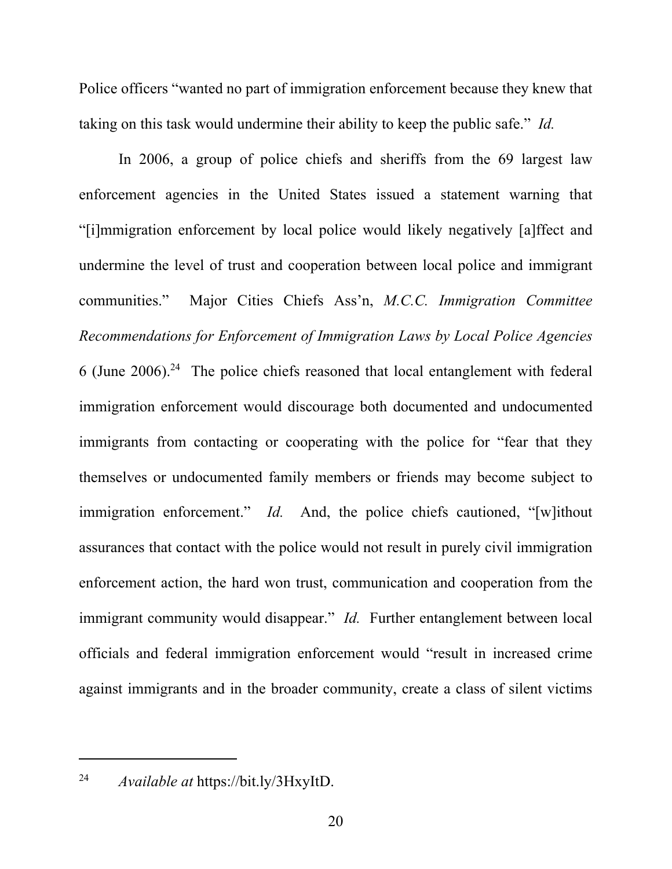Police officers "wanted no part of immigration enforcement because they knew that taking on this task would undermine their ability to keep the public safe." *Id.* 

In 2006, a group of police chiefs and sheriffs from the 69 largest law enforcement agencies in the United States issued a statement warning that "[i]mmigration enforcement by local police would likely negatively [a]ffect and undermine the level of trust and cooperation between local police and immigrant communities." Major Cities Chiefs Ass'n, *M.C.C. Immigration Committee Recommendations for Enforcement of Immigration Laws by Local Police Agencies* 6 (June 2006).24 The police chiefs reasoned that local entanglement with federal immigration enforcement would discourage both documented and undocumented immigrants from contacting or cooperating with the police for "fear that they themselves or undocumented family members or friends may become subject to immigration enforcement." *Id.* And, the police chiefs cautioned, "[w]ithout assurances that contact with the police would not result in purely civil immigration enforcement action, the hard won trust, communication and cooperation from the immigrant community would disappear." *Id.* Further entanglement between local officials and federal immigration enforcement would "result in increased crime against immigrants and in the broader community, create a class of silent victims

24 *Available at* https://bit.ly/3HxyItD.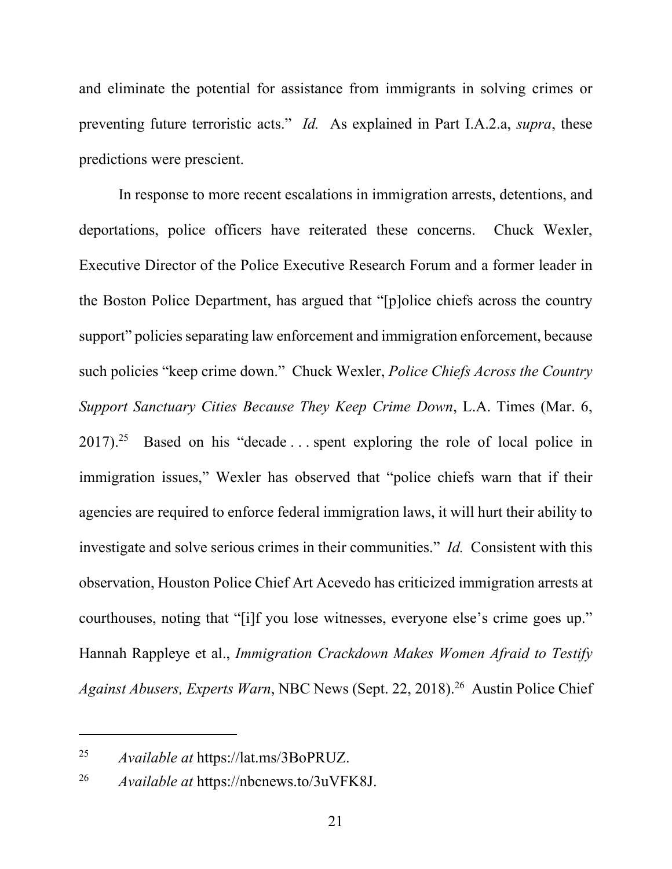and eliminate the potential for assistance from immigrants in solving crimes or preventing future terroristic acts." *Id.* As explained in Part I.A.2.a, *supra*, these predictions were prescient.

In response to more recent escalations in immigration arrests, detentions, and deportations, police officers have reiterated these concerns. Chuck Wexler, Executive Director of the Police Executive Research Forum and a former leader in the Boston Police Department, has argued that "[p]olice chiefs across the country support" policies separating law enforcement and immigration enforcement, because such policies "keep crime down." Chuck Wexler, *Police Chiefs Across the Country Support Sanctuary Cities Because They Keep Crime Down*, L.A. Times (Mar. 6,  $2017$ ).<sup>25</sup> Based on his "decade ... spent exploring the role of local police in immigration issues," Wexler has observed that "police chiefs warn that if their agencies are required to enforce federal immigration laws, it will hurt their ability to investigate and solve serious crimes in their communities." *Id.* Consistent with this observation, Houston Police Chief Art Acevedo has criticized immigration arrests at courthouses, noting that "[i]f you lose witnesses, everyone else's crime goes up." Hannah Rappleye et al., *Immigration Crackdown Makes Women Afraid to Testify Against Abusers, Experts Warn, NBC News (Sept. 22, 2018).*<sup>26</sup> Austin Police Chief

<sup>25</sup> *Available at* https://lat.ms/3BoPRUZ.

<sup>26</sup> *Available at* https://nbcnews.to/3uVFK8J.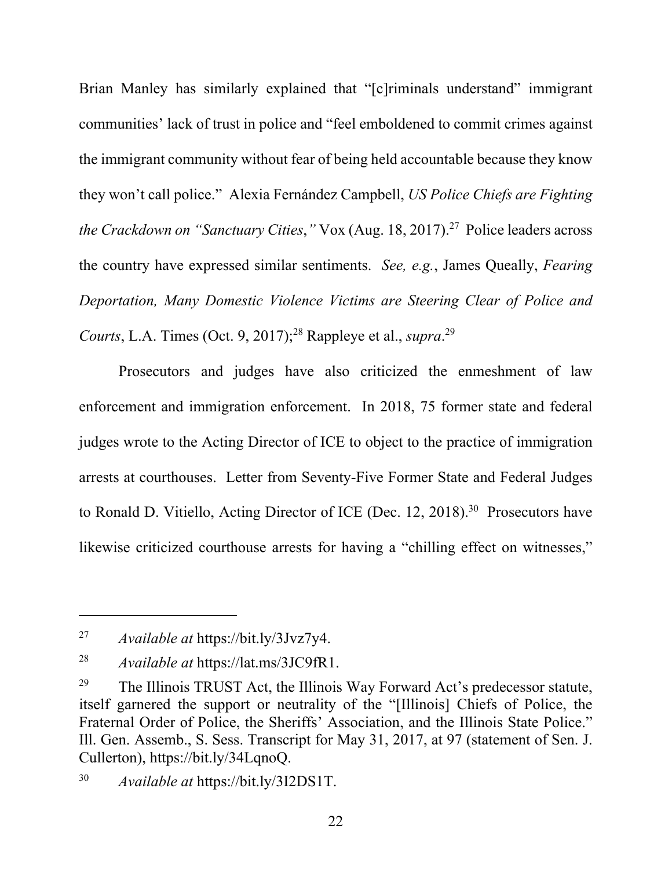Brian Manley has similarly explained that "[c]riminals understand" immigrant communities' lack of trust in police and "feel emboldened to commit crimes against the immigrant community without fear of being held accountable because they know they won't call police." Alexia Fernández Campbell, *US Police Chiefs are Fighting the Crackdown on "Sanctuary Cities,"* Vox (Aug. 18, 2017).<sup>27</sup> Police leaders across the country have expressed similar sentiments. *See, e.g.*, James Queally, *Fearing Deportation, Many Domestic Violence Victims are Steering Clear of Police and*  Courts, L.A. Times (Oct. 9, 2017);<sup>28</sup> Rappleye et al., *supra*.<sup>29</sup>

Prosecutors and judges have also criticized the enmeshment of law enforcement and immigration enforcement. In 2018, 75 former state and federal judges wrote to the Acting Director of ICE to object to the practice of immigration arrests at courthouses. Letter from Seventy-Five Former State and Federal Judges to Ronald D. Vitiello, Acting Director of ICE (Dec. 12, 2018).<sup>30</sup> Prosecutors have likewise criticized courthouse arrests for having a "chilling effect on witnesses,"

<sup>27</sup> *Available at* https://bit.ly/3Jvz7y4.

<sup>28</sup> *Available at* https://lat.ms/3JC9fR1.

<sup>&</sup>lt;sup>29</sup> The Illinois TRUST Act, the Illinois Way Forward Act's predecessor statute, itself garnered the support or neutrality of the "[Illinois] Chiefs of Police, the Fraternal Order of Police, the Sheriffs' Association, and the Illinois State Police." Ill. Gen. Assemb., S. Sess. Transcript for May 31, 2017, at 97 (statement of Sen. J. Cullerton), https://bit.ly/34LqnoQ.

<sup>30</sup> *Available at* https://bit.ly/3I2DS1T.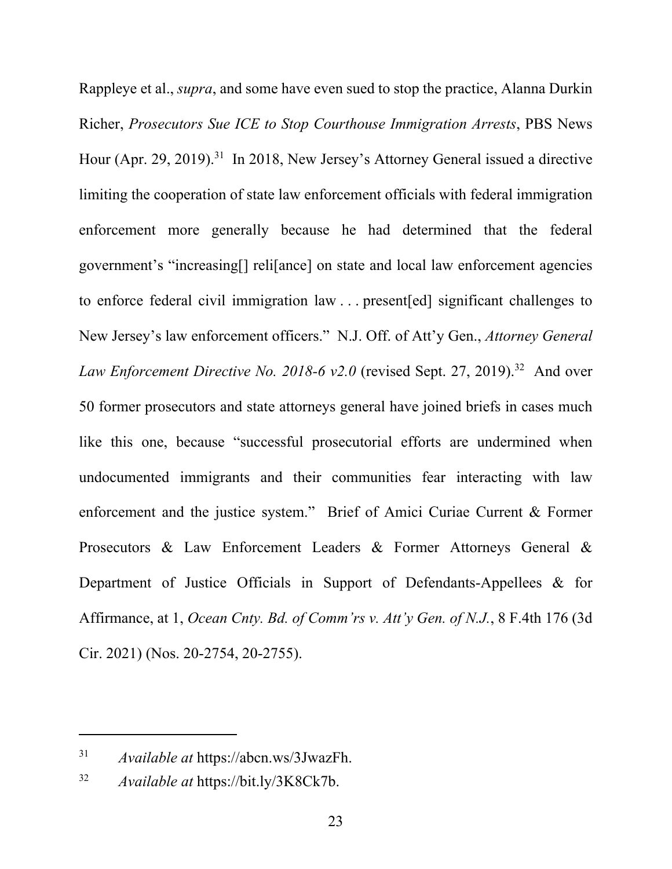Rappleye et al., *supra*, and some have even sued to stop the practice, Alanna Durkin Richer, *Prosecutors Sue ICE to Stop Courthouse Immigration Arrests*, PBS News Hour (Apr. 29, 2019).<sup>31</sup> In 2018, New Jersey's Attorney General issued a directive limiting the cooperation of state law enforcement officials with federal immigration enforcement more generally because he had determined that the federal government's "increasing[] reli[ance] on state and local law enforcement agencies to enforce federal civil immigration law . . . present[ed] significant challenges to New Jersey's law enforcement officers." N.J. Off. of Att'y Gen., *Attorney General Law Enforcement Directive No. 2018-6 v2.0* (revised Sept. 27, 2019).<sup>32</sup> And over 50 former prosecutors and state attorneys general have joined briefs in cases much like this one, because "successful prosecutorial efforts are undermined when undocumented immigrants and their communities fear interacting with law enforcement and the justice system." Brief of Amici Curiae Current & Former Prosecutors & Law Enforcement Leaders & Former Attorneys General & Department of Justice Officials in Support of Defendants-Appellees & for Affirmance, at 1, *Ocean Cnty. Bd. of Comm'rs v. Att'y Gen. of N.J.*, 8 F.4th 176 (3d Cir. 2021) (Nos. 20-2754, 20-2755).

<sup>31</sup> *Available at* https://abcn.ws/3JwazFh.

<sup>32</sup> *Available at* https://bit.ly/3K8Ck7b.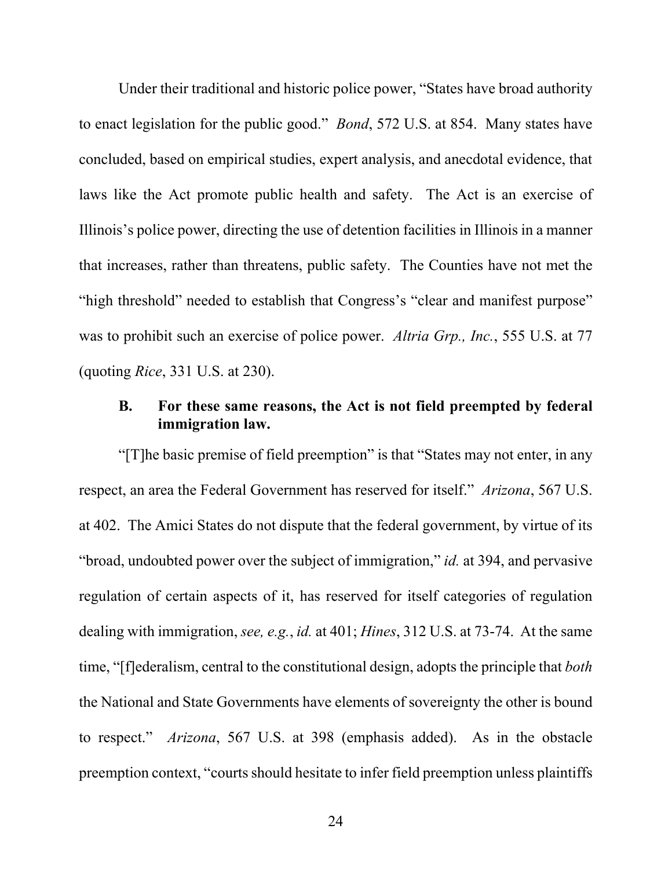Under their traditional and historic police power, "States have broad authority to enact legislation for the public good." *Bond*, 572 U.S. at 854. Many states have concluded, based on empirical studies, expert analysis, and anecdotal evidence, that laws like the Act promote public health and safety. The Act is an exercise of Illinois's police power, directing the use of detention facilities in Illinois in a manner that increases, rather than threatens, public safety. The Counties have not met the "high threshold" needed to establish that Congress's "clear and manifest purpose" was to prohibit such an exercise of police power. *Altria Grp., Inc.*, 555 U.S. at 77 (quoting *Rice*, 331 U.S. at 230).

### **B. For these same reasons, the Act is not field preempted by federal immigration law.**

"[T]he basic premise of field preemption" is that "States may not enter, in any respect, an area the Federal Government has reserved for itself." *Arizona*, 567 U.S. at 402. The Amici States do not dispute that the federal government, by virtue of its "broad, undoubted power over the subject of immigration," *id.* at 394, and pervasive regulation of certain aspects of it, has reserved for itself categories of regulation dealing with immigration, *see, e.g.*, *id.* at 401; *Hines*, 312 U.S. at 73-74. At the same time, "[f]ederalism, central to the constitutional design, adopts the principle that *both* the National and State Governments have elements of sovereignty the other is bound to respect." *Arizona*, 567 U.S. at 398 (emphasis added). As in the obstacle preemption context, "courts should hesitate to infer field preemption unless plaintiffs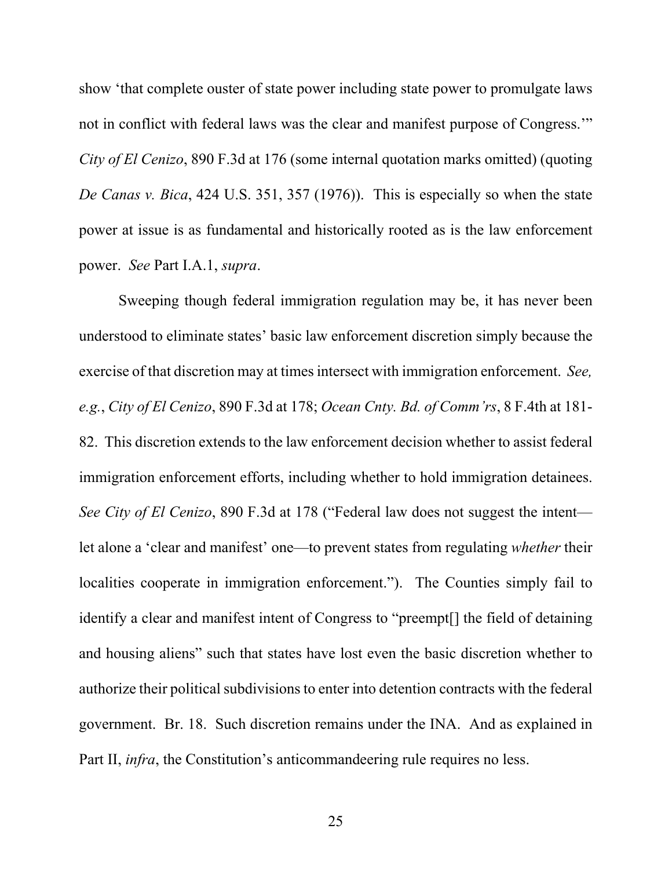show 'that complete ouster of state power including state power to promulgate laws not in conflict with federal laws was the clear and manifest purpose of Congress.'" *City of El Cenizo*, 890 F.3d at 176 (some internal quotation marks omitted) (quoting *De Canas v. Bica*, 424 U.S. 351, 357 (1976)). This is especially so when the state power at issue is as fundamental and historically rooted as is the law enforcement power. *See* Part I.A.1, *supra*.

Sweeping though federal immigration regulation may be, it has never been understood to eliminate states' basic law enforcement discretion simply because the exercise of that discretion may at times intersect with immigration enforcement. *See, e.g.*, *City of El Cenizo*, 890 F.3d at 178; *Ocean Cnty. Bd. of Comm'rs*, 8 F.4th at 181- 82. This discretion extends to the law enforcement decision whether to assist federal immigration enforcement efforts, including whether to hold immigration detainees. *See City of El Cenizo*, 890 F.3d at 178 ("Federal law does not suggest the intent let alone a 'clear and manifest' one—to prevent states from regulating *whether* their localities cooperate in immigration enforcement."). The Counties simply fail to identify a clear and manifest intent of Congress to "preempt[] the field of detaining and housing aliens" such that states have lost even the basic discretion whether to authorize their political subdivisions to enter into detention contracts with the federal government. Br. 18. Such discretion remains under the INA. And as explained in Part II, *infra*, the Constitution's anticommandeering rule requires no less.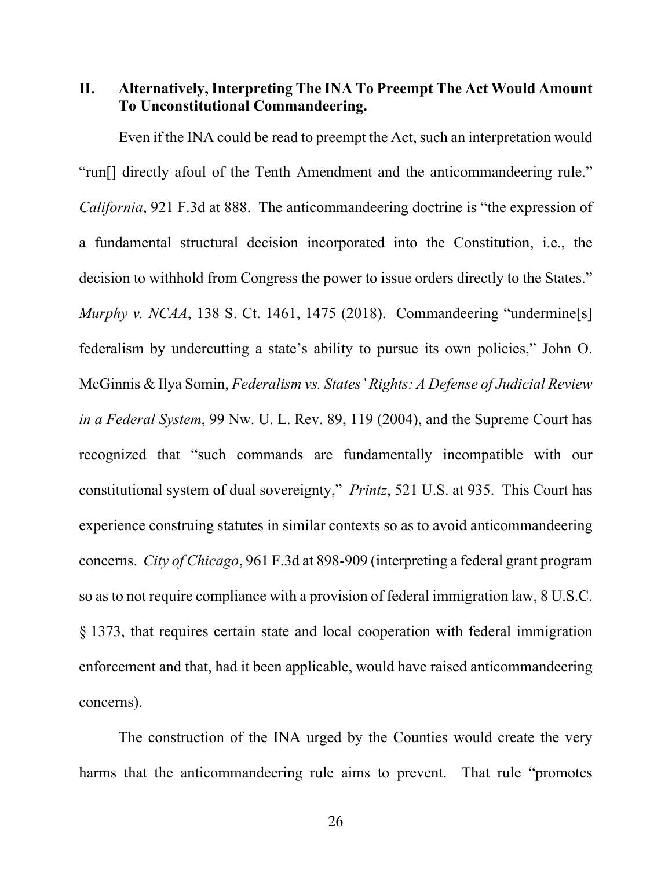**II. Alternatively, Interpreting The INA To Preempt The Act Would Amount To Unconstitutional Commandeering.** 

Even if the INA could be read to preempt the Act, such an interpretation would "run[] directly afoul of the Tenth Amendment and the anticommandeering rule." *California*, 921 F.3d at 888. The anticommandeering doctrine is "the expression of a fundamental structural decision incorporated into the Constitution, i.e., the decision to withhold from Congress the power to issue orders directly to the States." *Murphy v. NCAA*, 138 S. Ct. 1461, 1475 (2018). Commandeering "undermine[s] federalism by undercutting a state's ability to pursue its own policies," John O. McGinnis & Ilya Somin, *Federalism vs. States' Rights: A Defense of Judicial Review in a Federal System*, 99 Nw. U. L. Rev. 89, 119 (2004), and the Supreme Court has recognized that "such commands are fundamentally incompatible with our constitutional system of dual sovereignty," *Printz*, 521 U.S. at 935. This Court has experience construing statutes in similar contexts so as to avoid anticommandeering concerns. *City of Chicago*, 961 F.3d at 898-909 (interpreting a federal grant program so as to not require compliance with a provision of federal immigration law, 8 U.S.C. § 1373, that requires certain state and local cooperation with federal immigration enforcement and that, had it been applicable, would have raised anticommandeering concerns).

The construction of the INA urged by the Counties would create the very harms that the anticommandeering rule aims to prevent. That rule "promotes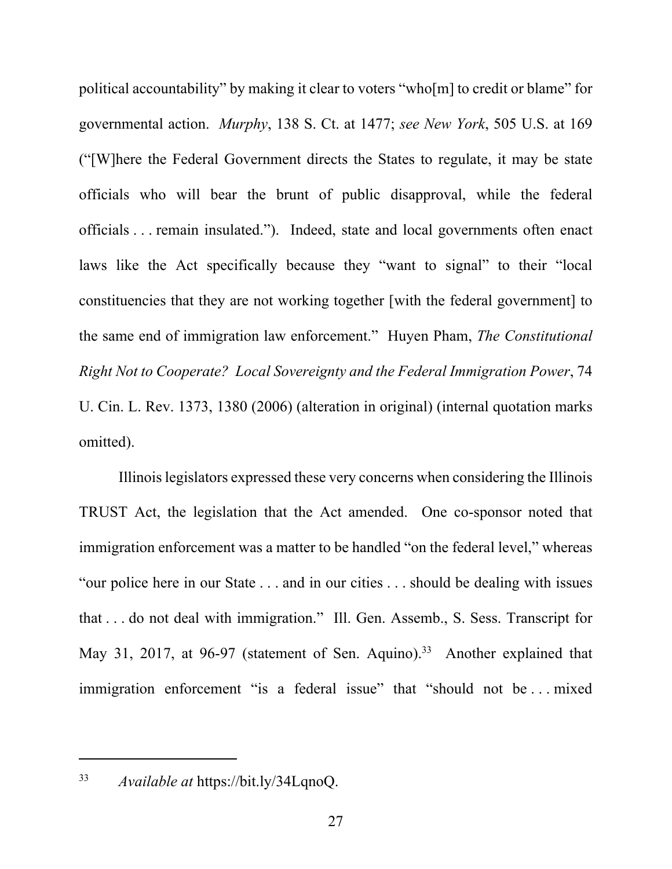political accountability" by making it clear to voters "who[m] to credit or blame" for governmental action. *Murphy*, 138 S. Ct. at 1477; *see New York*, 505 U.S. at 169 ("[W]here the Federal Government directs the States to regulate, it may be state officials who will bear the brunt of public disapproval, while the federal officials . . . remain insulated."). Indeed, state and local governments often enact laws like the Act specifically because they "want to signal" to their "local constituencies that they are not working together [with the federal government] to the same end of immigration law enforcement." Huyen Pham, *The Constitutional Right Not to Cooperate? Local Sovereignty and the Federal Immigration Power*, 74 U. Cin. L. Rev. 1373, 1380 (2006) (alteration in original) (internal quotation marks omitted).

Illinois legislators expressed these very concerns when considering the Illinois TRUST Act, the legislation that the Act amended. One co-sponsor noted that immigration enforcement was a matter to be handled "on the federal level," whereas "our police here in our State . . . and in our cities . . . should be dealing with issues that . . . do not deal with immigration." Ill. Gen. Assemb., S. Sess. Transcript for May 31, 2017, at 96-97 (statement of Sen. Aquino).<sup>33</sup> Another explained that immigration enforcement "is a federal issue" that "should not be ... mixed

33 *Available at* https://bit.ly/34LqnoQ.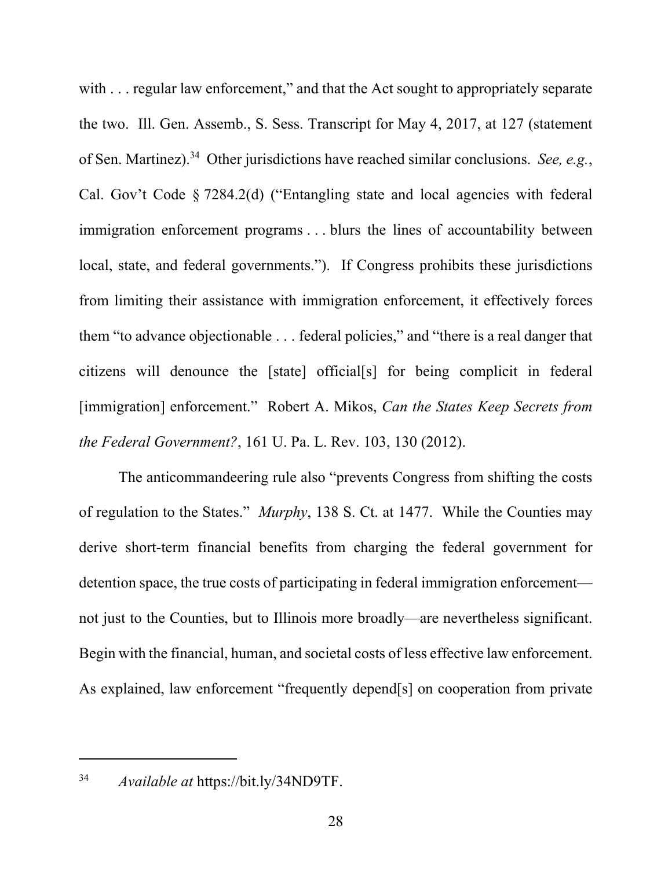with . . . regular law enforcement," and that the Act sought to appropriately separate the two. Ill. Gen. Assemb., S. Sess. Transcript for May 4, 2017, at 127 (statement of Sen. Martinez).34 Other jurisdictions have reached similar conclusions. *See, e.g.*, Cal. Gov't Code § 7284.2(d) ("Entangling state and local agencies with federal immigration enforcement programs . . . blurs the lines of accountability between local, state, and federal governments."). If Congress prohibits these jurisdictions from limiting their assistance with immigration enforcement, it effectively forces them "to advance objectionable . . . federal policies," and "there is a real danger that citizens will denounce the [state] official[s] for being complicit in federal [immigration] enforcement." Robert A. Mikos, *Can the States Keep Secrets from the Federal Government?*, 161 U. Pa. L. Rev. 103, 130 (2012).

The anticommandeering rule also "prevents Congress from shifting the costs of regulation to the States." *Murphy*, 138 S. Ct. at 1477. While the Counties may derive short-term financial benefits from charging the federal government for detention space, the true costs of participating in federal immigration enforcement not just to the Counties, but to Illinois more broadly—are nevertheless significant. Begin with the financial, human, and societal costs of less effective law enforcement. As explained, law enforcement "frequently depend[s] on cooperation from private

34 *Available at* https://bit.ly/34ND9TF.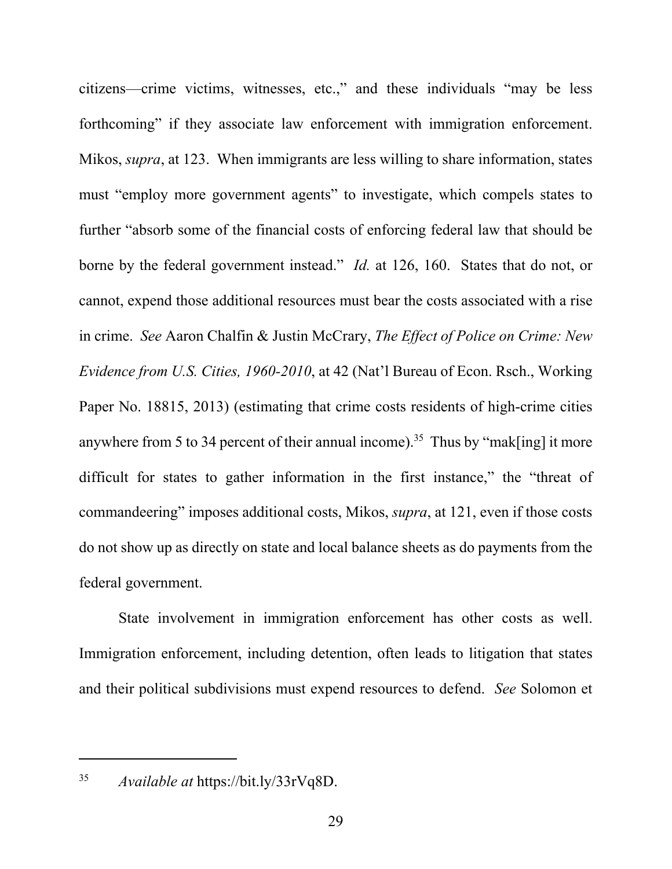citizens—crime victims, witnesses, etc.," and these individuals "may be less forthcoming" if they associate law enforcement with immigration enforcement. Mikos, *supra*, at 123. When immigrants are less willing to share information, states must "employ more government agents" to investigate, which compels states to further "absorb some of the financial costs of enforcing federal law that should be borne by the federal government instead." *Id.* at 126, 160. States that do not, or cannot, expend those additional resources must bear the costs associated with a rise in crime. *See* Aaron Chalfin & Justin McCrary, *The Effect of Police on Crime: New Evidence from U.S. Cities, 1960-2010*, at 42 (Nat'l Bureau of Econ. Rsch., Working Paper No. 18815, 2013) (estimating that crime costs residents of high-crime cities anywhere from 5 to 34 percent of their annual income).<sup>35</sup> Thus by "mak[ing] it more difficult for states to gather information in the first instance," the "threat of commandeering" imposes additional costs, Mikos, *supra*, at 121, even if those costs do not show up as directly on state and local balance sheets as do payments from the federal government.

State involvement in immigration enforcement has other costs as well. Immigration enforcement, including detention, often leads to litigation that states and their political subdivisions must expend resources to defend. *See* Solomon et

35 *Available at* https://bit.ly/33rVq8D.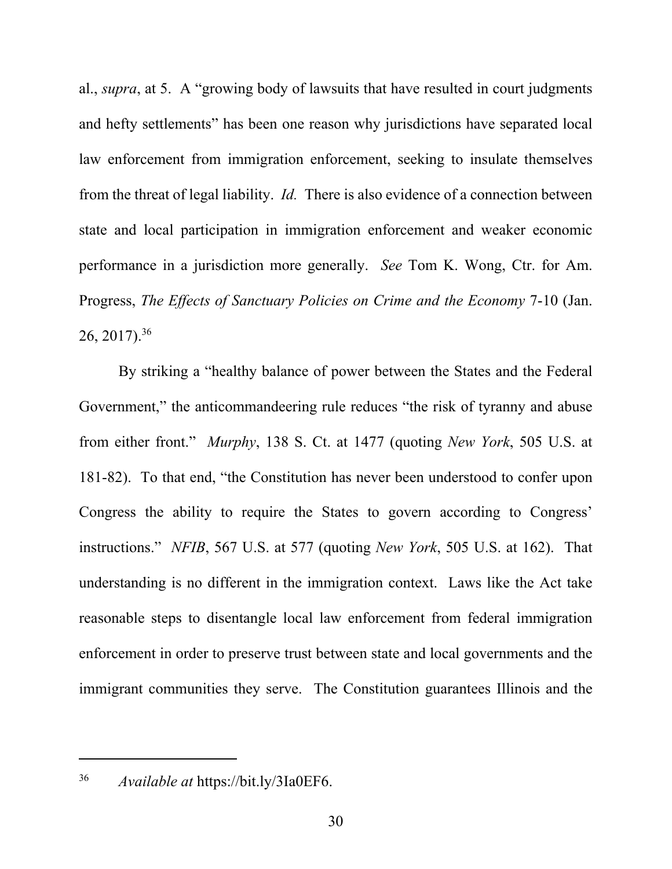al., *supra*, at 5. A "growing body of lawsuits that have resulted in court judgments and hefty settlements" has been one reason why jurisdictions have separated local law enforcement from immigration enforcement, seeking to insulate themselves from the threat of legal liability. *Id.* There is also evidence of a connection between state and local participation in immigration enforcement and weaker economic performance in a jurisdiction more generally. *See* Tom K. Wong, Ctr. for Am. Progress, *The Effects of Sanctuary Policies on Crime and the Economy* 7-10 (Jan. 26, 2017).36

By striking a "healthy balance of power between the States and the Federal Government," the anticommandeering rule reduces "the risk of tyranny and abuse from either front." *Murphy*, 138 S. Ct. at 1477 (quoting *New York*, 505 U.S. at 181-82). To that end, "the Constitution has never been understood to confer upon Congress the ability to require the States to govern according to Congress' instructions." *NFIB*, 567 U.S. at 577 (quoting *New York*, 505 U.S. at 162). That understanding is no different in the immigration context. Laws like the Act take reasonable steps to disentangle local law enforcement from federal immigration enforcement in order to preserve trust between state and local governments and the immigrant communities they serve. The Constitution guarantees Illinois and the

36 *Available at* https://bit.ly/3Ia0EF6.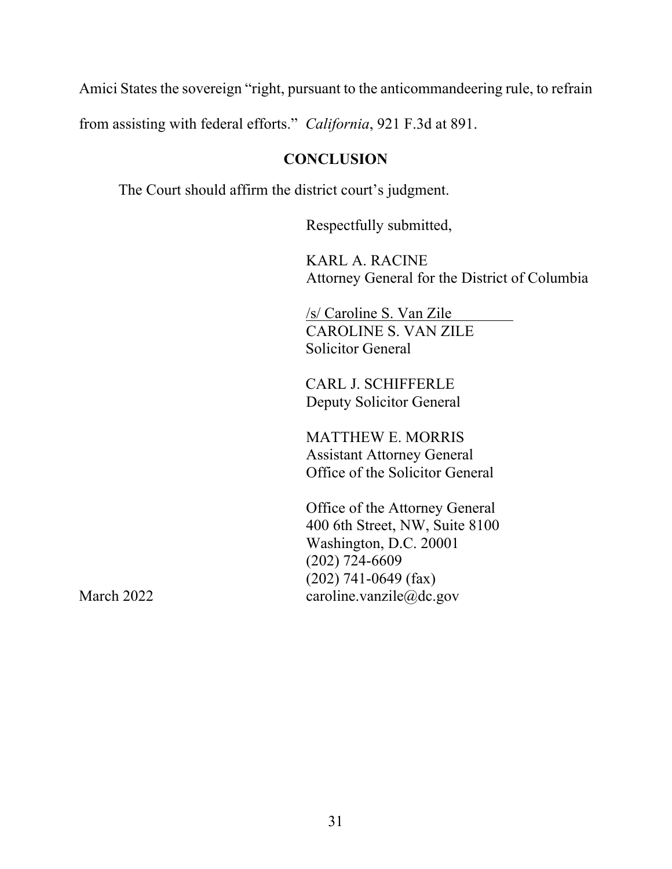Amici States the sovereign "right, pursuant to the anticommandeering rule, to refrain

from assisting with federal efforts." *California*, 921 F.3d at 891.

## **CONCLUSION**

The Court should affirm the district court's judgment.

Respectfully submitted,

KARL A. RACINE Attorney General for the District of Columbia

/s/ Caroline S. Van Zile CAROLINE S. VAN ZILE Solicitor General

CARL J. SCHIFFERLE Deputy Solicitor General

MATTHEW E. MORRIS Assistant Attorney General Office of the Solicitor General

Office of the Attorney General 400 6th Street, NW, Suite 8100 Washington, D.C. 20001 (202) 724-6609 (202) 741-0649 (fax) March 2022 caroline.vanzile@dc.gov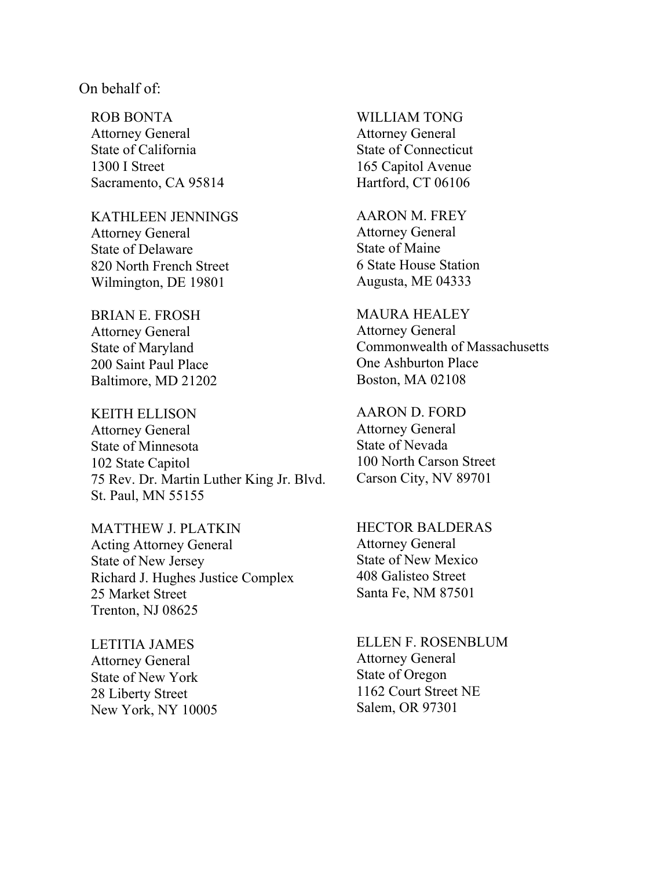#### On behalf of:

ROB BONTA Attorney General State of California 1300 I Street Sacramento, CA 95814

KATHLEEN JENNINGS Attorney General State of Delaware 820 North French Street Wilmington, DE 19801

BRIAN E. FROSH Attorney General State of Maryland 200 Saint Paul Place Baltimore, MD 21202

KEITH ELLISON Attorney General State of Minnesota 102 State Capitol 75 Rev. Dr. Martin Luther King Jr. Blvd. St. Paul, MN 55155

MATTHEW J. PLATKIN Acting Attorney General State of New Jersey Richard J. Hughes Justice Complex 25 Market Street Trenton, NJ 08625

LETITIA JAMES Attorney General State of New York 28 Liberty Street New York, NY 10005 WILLIAM TONG Attorney General State of Connecticut 165 Capitol Avenue Hartford, CT 06106

AARON M. FREY Attorney General State of Maine 6 State House Station Augusta, ME 04333

MAURA HEALEY Attorney General Commonwealth of Massachusetts One Ashburton Place Boston, MA 02108

AARON D. FORD Attorney General State of Nevada 100 North Carson Street Carson City, NV 89701

HECTOR BALDERAS Attorney General State of New Mexico 408 Galisteo Street Santa Fe, NM 87501

ELLEN F. ROSENBLUM Attorney General State of Oregon 1162 Court Street NE Salem, OR 97301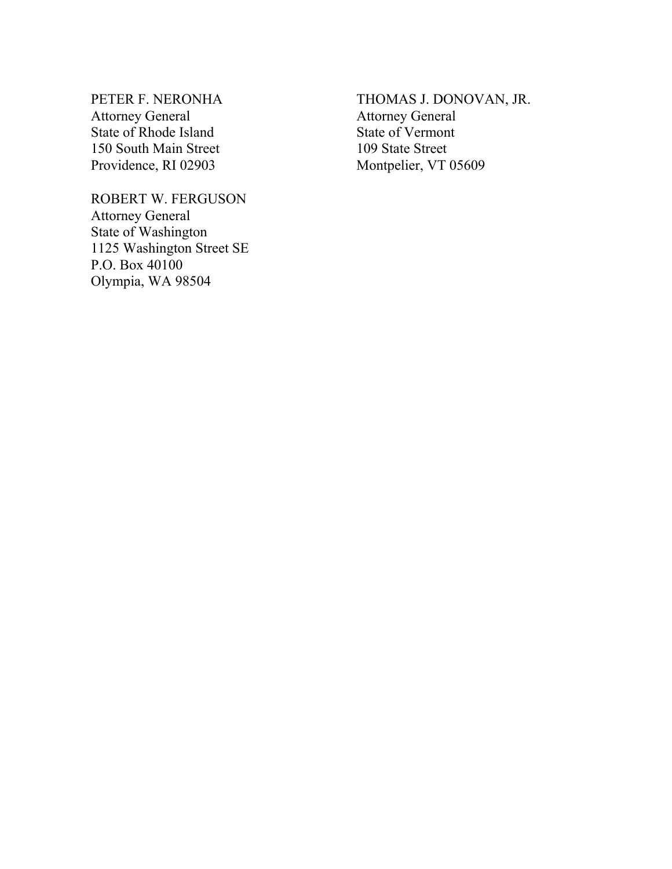PETER F. NERONHA Attorney General State of Rhode Island 150 South Main Street Providence, RI 02903

ROBERT W. FERGUSON Attorney General State of Washington 1125 Washington Street SE P.O. Box 40100 Olympia, WA 98504

THOMAS J. DONOVAN, JR. Attorney General State of Vermont 109 State Street Montpelier, VT 05609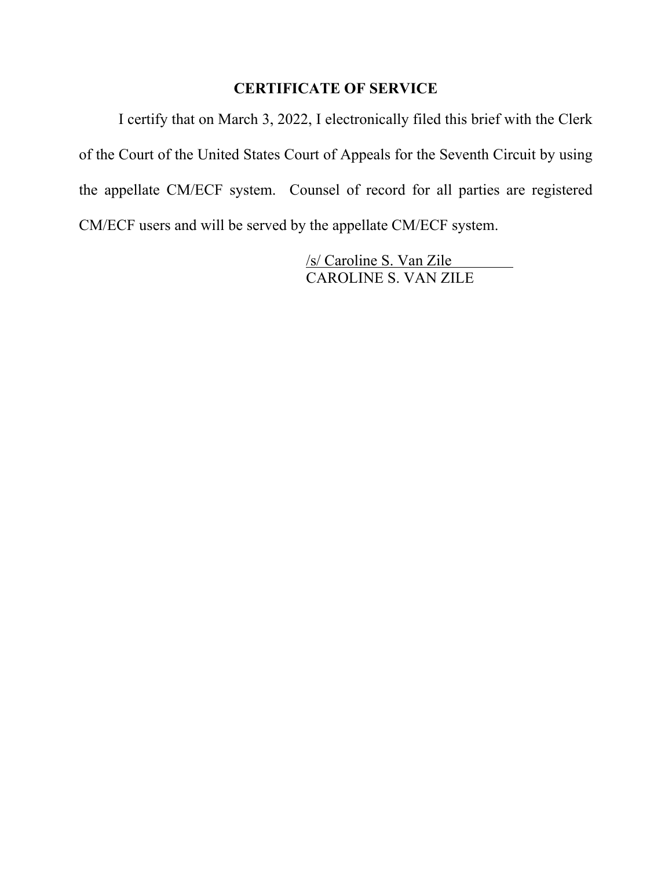# **CERTIFICATE OF SERVICE**

 I certify that on March 3, 2022, I electronically filed this brief with the Clerk of the Court of the United States Court of Appeals for the Seventh Circuit by using the appellate CM/ECF system. Counsel of record for all parties are registered CM/ECF users and will be served by the appellate CM/ECF system.

> /s/ Caroline S. Van Zile CAROLINE S. VAN ZILE